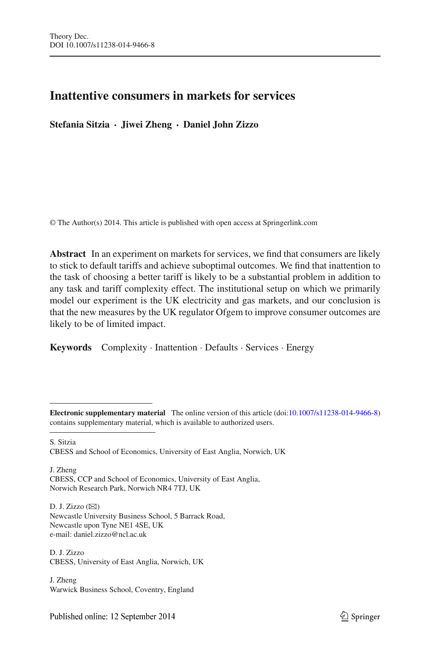# **Inattentive consumers in markets for services**

**Stefania Sitzia · Jiwei Zheng · Daniel John Zizzo**

© The Author(s) 2014. This article is published with open access at Springerlink.com

**Abstract** In an experiment on markets for services, we find that consumers are likely to stick to default tariffs and achieve suboptimal outcomes. We find that inattention to the task of choosing a better tariff is likely to be a substantial problem in addition to any task and tariff complexity effect. The institutional setup on which we primarily model our experiment is the UK electricity and gas markets, and our conclusion is that the new measures by the UK regulator Ofgem to improve consumer outcomes are likely to be of limited impact.

**Keywords** Complexity · Inattention · Defaults · Services · Energy

S. Sitzia CBESS and School of Economics, University of East Anglia, Norwich, UK

J. Zheng CBESS, CCP and School of Economics, University of East Anglia, Norwich Research Park, Norwich NR4 7TJ, UK

D. J. Zizzo  $(\boxtimes)$ Newcastle University Business School, 5 Barrack Road, Newcastle upon Tyne NE1 4SE, UK e-mail: daniel.zizzo@ncl.ac.uk

D. J. Zizzo CBESS, University of East Anglia, Norwich, UK

J. Zheng Warwick Business School, Coventry, England

**Electronic supplementary material** The online version of this article (doi[:10.1007/s11238-014-9466-8\)](http://dx.doi.org/10.1007/s11238-014-9466-8) contains supplementary material, which is available to authorized users.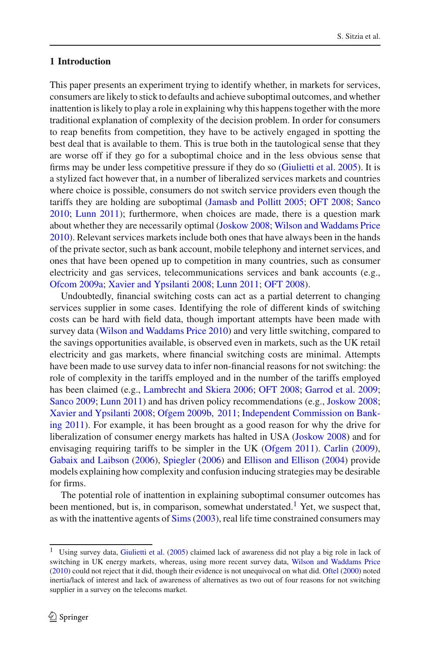## **1 Introduction**

This paper presents an experiment trying to identify whether, in markets for services, consumers are likely to stick to defaults and achieve suboptimal outcomes, and whether inattention is likely to play a role in explaining why this happens together with the more traditional explanation of complexity of the decision problem. In order for consumers to reap benefits from competition, they have to be actively engaged in spotting the best deal that is available to them. This is true both in the tautological sense that they are worse off if they go for a suboptimal choice and in the less obvious sense that firms may be under less competitive pressure if they do so [\(Giulietti et al. 2005\)](#page-24-0). It is a stylized fact however that, in a number of liberalized services markets and countries where choice is possible, consumers do not switch service providers even though the tariffs they are holding are suboptimal [\(Jamasb and Pollitt 2005;](#page-24-1) [OFT 2008;](#page-24-2) [Sanco](#page-25-0) [2010;](#page-25-0) [Lunn 2011\)](#page-24-3); furthermore, when choices are made, there is a question mark about whether they are necessarily optimal [\(Joskow 2008](#page-24-4); [Wilson and Waddams Price](#page-25-1) [2010\)](#page-25-1). Relevant services markets include both ones that have always been in the hands of the private sector, such as bank account, mobile telephony and internet services, and ones that have been opened up to competition in many countries, such as consumer electricity and gas services, telecommunications services and bank accounts (e.g., [Ofcom 2009a](#page-24-5); [Xavier and Ypsilanti 2008;](#page-25-2) [Lunn 2011](#page-24-3); [OFT 2008\)](#page-24-2).

Undoubtedly, financial switching costs can act as a partial deterrent to changing services supplier in some cases. Identifying the role of different kinds of switching costs can be hard with field data, though important attempts have been made with survey data [\(Wilson and Waddams Price 2010\)](#page-25-1) and very little switching, compared to the savings opportunities available, is observed even in markets, such as the UK retail electricity and gas markets, where financial switching costs are minimal. Attempts have been made to use survey data to infer non-financial reasons for not switching: the role of complexity in the tariffs employed and in the number of the tariffs employed has been claimed (e.g., [Lambrecht and Skiera 2006](#page-24-6); [OFT 2008;](#page-24-2) [Garrod et al. 2009](#page-24-7); [Sanco 2009](#page-25-3); [Lunn 2011\)](#page-24-3) and has driven policy recommendations (e.g., [Joskow 2008](#page-24-4); [Xavier and Ypsilanti 2008;](#page-25-2) [Ofgem 2009b,](#page-24-8) [2011;](#page-24-9) Independent Commission on Banking [2011](#page-24-10)). For example, it has been brought as a good reason for why the drive for liberalization of consumer energy markets has halted in USA [\(Joskow 2008](#page-24-4)) and for envisaging requiring tariffs to be simpler in the UK [\(Ofgem 2011](#page-24-9)). [Carlin](#page-24-11) [\(2009](#page-24-11)), [Gabaix and Laibson](#page-24-12) [\(2006\)](#page-24-12), [Spiegler](#page-25-4) [\(2006\)](#page-25-4) and [Ellison and Ellison](#page-24-13) [\(2004\)](#page-24-13) provide models explaining how complexity and confusion inducing strategies may be desirable for firms.

The potential role of inattention in explaining suboptimal consumer outcomes has been mentioned, but is, in comparison, somewhat understated.<sup>[1](#page-1-0)</sup> Yet, we suspect that, as with the inattentive agents of [Sims\(2003\)](#page-25-5), real life time constrained consumers may

<span id="page-1-0"></span><sup>1</sup> Using survey data, [Giulietti et al.](#page-24-0) [\(2005](#page-24-0)) claimed lack of awareness did not play a big role in lack of switching in UK energy markets, whereas, using more recent survey data, [Wilson and Waddams Price](#page-25-1) [\(2010](#page-25-1)) could not reject that it did, though their evidence is not unequivocal on what did. [Oftel](#page-24-14) [\(2000\)](#page-24-14) noted inertia/lack of interest and lack of awareness of alternatives as two out of four reasons for not switching supplier in a survey on the telecoms market.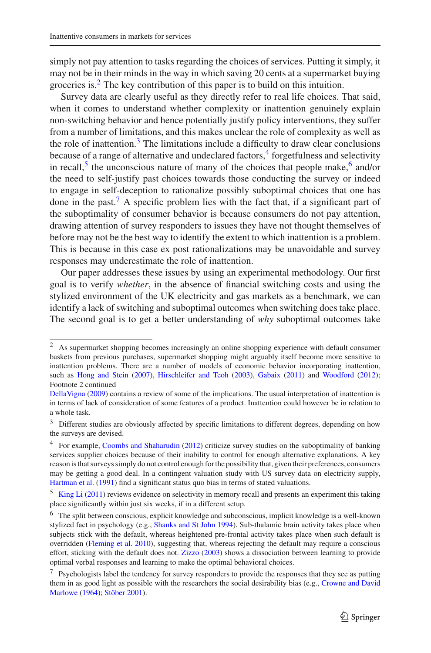simply not pay attention to tasks regarding the choices of services. Putting it simply, it may not be in their minds in the way in which saving 20 cents at a supermarket buying groceries is[.2](#page-2-0) The key contribution of this paper is to build on this intuition.

Survey data are clearly useful as they directly refer to real life choices. That said, when it comes to understand whether complexity or inattention genuinely explain non-switching behavior and hence potentially justify policy interventions, they suffer from a number of limitations, and this makes unclear the role of complexity as well as the role of inattention. $3$  The limitations include a difficulty to draw clear conclusions because of a range of alternative and undeclared factors, $4$  forgetfulness and selectivity in recall,<sup>5</sup> the unconscious nature of many of the choices that people make, $6$  and/or the need to self-justify past choices towards those conducting the survey or indeed to engage in self-deception to rationalize possibly suboptimal choices that one has done in the past.<sup>7</sup> A specific problem lies with the fact that, if a significant part of the suboptimality of consumer behavior is because consumers do not pay attention, drawing attention of survey responders to issues they have not thought themselves of before may not be the best way to identify the extent to which inattention is a problem. This is because in this case ex post rationalizations may be unavoidable and survey responses may underestimate the role of inattention.

Our paper addresses these issues by using an experimental methodology. Our first goal is to verify *whether*, in the absence of financial switching costs and using the stylized environment of the UK electricity and gas markets as a benchmark, we can identify a lack of switching and suboptimal outcomes when switching does take place. The second goal is to get a better understanding of *why* suboptimal outcomes take

<span id="page-2-0"></span><sup>2</sup> As supermarket shopping becomes increasingly an online shopping experience with default consumer baskets from previous purchases, supermarket shopping might arguably itself become more sensitive to inattention problems. There are a number of models of economic behavior incorporating inattention, such as [Hong and Stein](#page-24-15) [\(2007](#page-24-15)), [Hirschleifer and Teoh](#page-24-16) [\(2003](#page-24-16)), [Gabaix](#page-24-17) [\(2011](#page-24-17)) and [Woodford](#page-25-6) [\(2012](#page-25-6)); Footnote 2 continued

[DellaVigna](#page-24-18) [\(2009\)](#page-24-18) contains a review of some of the implications. The usual interpretation of inattention is in terms of lack of consideration of some features of a product. Inattention could however be in relation to a whole task.

<span id="page-2-1"></span><sup>&</sup>lt;sup>3</sup> Different studies are obviously affected by specific limitations to different degrees, depending on how the surveys are devised.

<span id="page-2-2"></span><sup>&</sup>lt;sup>4</sup> For example, [Coombs and Shaharudin](#page-24-19) [\(2012](#page-24-19)) criticize survey studies on the suboptimality of banking services supplier choices because of their inability to control for enough alternative explanations. A key reason is that surveys simply do not control enough for the possibility that, given their preferences, consumers may be getting a good deal. In a contingent valuation study with US survey data on electricity supply, [Hartman et al.](#page-24-20) [\(1991\)](#page-24-20) find a significant status quo bias in terms of stated valuations.

<span id="page-2-3"></span><sup>5</sup> [King Li](#page-24-21) [\(2011](#page-24-21)) reviews evidence on selectivity in memory recall and presents an experiment this taking place significantly within just six weeks, if in a different setup.

<span id="page-2-4"></span><sup>6</sup> The split between conscious, explicit knowledge and subconscious, implicit knowledge is a well-known stylized fact in psychology (e.g., [Shanks and St John 1994\)](#page-25-7). Sub-thalamic brain activity takes place when subjects stick with the default, whereas heightened pre-frontal activity takes place when such default is overridden [\(Fleming et al. 2010\)](#page-24-22), suggesting that, whereas rejecting the default may require a conscious effort, sticking with the default does not. [Zizzo](#page-25-8) [\(2003](#page-25-8)) shows a dissociation between learning to provide optimal verbal responses and learning to make the optimal behavioral choices.

<span id="page-2-5"></span><sup>&</sup>lt;sup>7</sup> Psychologists label the tendency for survey responders to provide the responses that they see as putting them in [as](#page-24-23) [good](#page-24-23) [light](#page-24-23) [as](#page-24-23) [possible](#page-24-23) [with](#page-24-23) [the](#page-24-23) [researchers](#page-24-23) [the](#page-24-23) [social](#page-24-23) [desirability](#page-24-23) [bias](#page-24-23) [\(e.g.,](#page-24-23) Crowne and David Marlowe [\(1964\)](#page-24-23); [Stöber 2001\)](#page-25-9).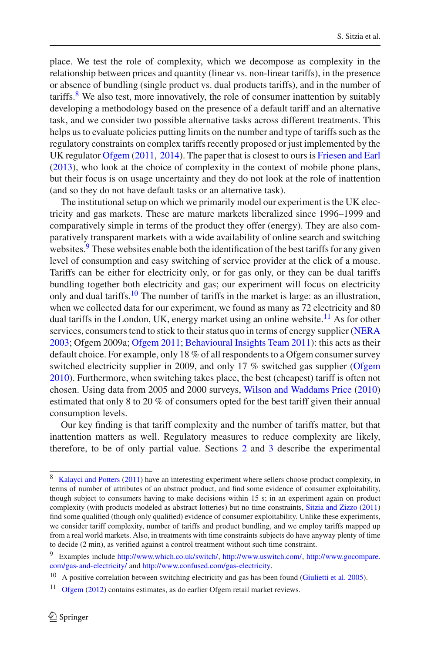place. We test the role of complexity, which we decompose as complexity in the relationship between prices and quantity (linear vs. non-linear tariffs), in the presence or absence of bundling (single product vs. dual products tariffs), and in the number of tariffs. <sup>8</sup> We also test, more innovatively, the role of consumer inattention by suitably developing a methodology based on the presence of a default tariff and an alternative task, and we consider two possible alternative tasks across different treatments. This helps us to evaluate policies putting limits on the number and type of tariffs such as the regulatory constraints on complex tariffs recently proposed or just implemented by the UK regulator [Ofgem](#page-24-9) [\(2011,](#page-24-9) [2014](#page-24-24)). The paper that is closest to ours is [Friesen and Earl](#page-24-25) [\(2013\)](#page-24-25), who look at the choice of complexity in the context of mobile phone plans, but their focus is on usage uncertainty and they do not look at the role of inattention (and so they do not have default tasks or an alternative task).

The institutional setup on which we primarily model our experiment is the UK electricity and gas markets. These are mature markets liberalized since 1996–1999 and comparatively simple in terms of the product they offer (energy). They are also comparatively transparent markets with a wide availability of online search and switching websites.<sup>9</sup> These websites enable both the identification of the best tariffs for any given level of consumption and easy switching of service provider at the click of a mouse. Tariffs can be either for electricity only, or for gas only, or they can be dual tariffs bundling together both electricity and gas; our experiment will focus on electricity only and dual tariffs.<sup>10</sup> The number of tariffs in the market is large: as an illustration, when we collected data for our experiment, we found as many as 72 electricity and 80 dual tariffs in the London, UK, energy market using an online website.<sup>11</sup> As for other services, consumers tend to stick to their status quo in terms of energy supplier [\(NERA](#page-24-26) [2003;](#page-24-26) Ofgem 2009a; [Ofgem 2011](#page-24-9); [Behavioural Insights Team 2011](#page-23-0)): this acts as their default choice. For example, only 18 % of all respondents to a Ofgem consumer survey switched electricity supplier in 2009, and only 17 % switched gas supplier [\(Ofgem](#page-24-27) [2010\)](#page-24-27). Furthermore, when switching takes place, the best (cheapest) tariff is often not chosen. Using data from 2005 and 2000 surveys, [Wilson and Waddams Price](#page-25-1) [\(2010\)](#page-25-1) estimated that only 8 to 20 % of consumers opted for the best tariff given their annual consumption levels.

Our key finding is that tariff complexity and the number of tariffs matter, but that inattention matters as well. Regulatory measures to reduce complexity are likely, therefore, to be of only partial value. Sections [2](#page-4-0) and [3](#page-5-0) describe the experimental

<span id="page-3-0"></span><sup>8</sup> [Kalayci and Potters](#page-24-28) [\(2011](#page-24-28)) have an interesting experiment where sellers choose product complexity, in terms of number of attributes of an abstract product, and find some evidence of consumer exploitability, though subject to consumers having to make decisions within 15 s; in an experiment again on product complexity (with products modeled as abstract lotteries) but no time constraints, [Sitzia and Zizzo](#page-25-10) [\(2011](#page-25-10)) find some qualified (though only qualified) evidence of consumer exploitability. Unlike these experiments, we consider tariff complexity, number of tariffs and product bundling, and we employ tariffs mapped up from a real world markets. Also, in treatments with time constraints subjects do have anyway plenty of time to decide (2 min), as verified against a control treatment without such time constraint.

<span id="page-3-1"></span><sup>9</sup> Examples include [http://www.which.co.uk/switch/,](http://www.which.co.uk/switch/) [http://www.uswitch.com/,](http://www.uswitch.com/) [http://www.gocompare.](http://www.gocompare.com/gas-and-electricity/) [com/gas-and-electricity/](http://www.gocompare.com/gas-and-electricity/) and [http://www.confused.com/gas-electricity.](http://www.confused.com/gas-electricity)

<sup>&</sup>lt;sup>10</sup> A positive correlation between switching electricity and gas has been found [\(Giulietti et al. 2005\)](#page-24-0).

<span id="page-3-3"></span><span id="page-3-2"></span><sup>&</sup>lt;sup>11</sup> [Ofgem](#page-24-29) [\(2012\)](#page-24-29) contains estimates, as do earlier Ofgem retail market reviews.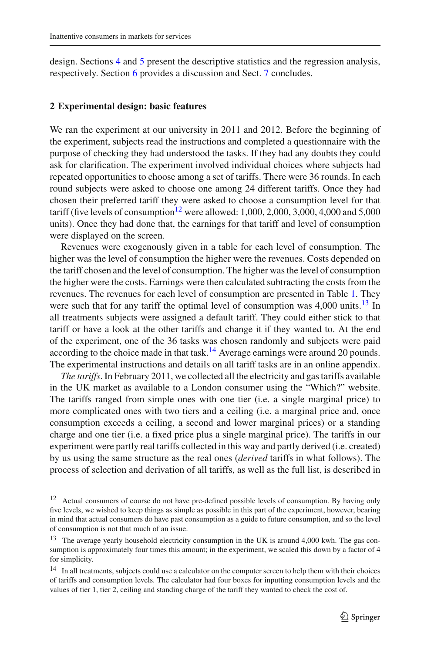design. Sections [4](#page-9-0) and [5](#page-12-0) present the descriptive statistics and the regression analysis, respectively. Section [6](#page-21-0) provides a discussion and Sect. [7](#page-23-1) concludes.

### <span id="page-4-0"></span>**2 Experimental design: basic features**

We ran the experiment at our university in 2011 and 2012. Before the beginning of the experiment, subjects read the instructions and completed a questionnaire with the purpose of checking they had understood the tasks. If they had any doubts they could ask for clarification. The experiment involved individual choices where subjects had repeated opportunities to choose among a set of tariffs. There were 36 rounds. In each round subjects were asked to choose one among 24 different tariffs. Once they had chosen their preferred tariff they were asked to choose a consumption level for that tariff (five levels of consumption<sup>12</sup> were allowed: 1,000, 2,000, 3,000, 4,000 and 5,000 units). Once they had done that, the earnings for that tariff and level of consumption were displayed on the screen.

Revenues were exogenously given in a table for each level of consumption. The higher was the level of consumption the higher were the revenues. Costs depended on the tariff chosen and the level of consumption. The higher was the level of consumption the higher were the costs. Earnings were then calculated subtracting the costs from the revenues. The revenues for each level of consumption are presented in Table [1.](#page-5-1) They were such that for any tariff the optimal level of consumption was  $4,000$  units.<sup>13</sup> In all treatments subjects were assigned a default tariff. They could either stick to that tariff or have a look at the other tariffs and change it if they wanted to. At the end of the experiment, one of the 36 tasks was chosen randomly and subjects were paid according to the choice made in that task.<sup>[14](#page-4-3)</sup> Average earnings were around 20 pounds. The experimental instructions and details on all tariff tasks are in an online appendix.

*The tariffs*. In February 2011, we collected all the electricity and gas tariffs available in the UK market as available to a London consumer using the "Which?" website. The tariffs ranged from simple ones with one tier (i.e. a single marginal price) to more complicated ones with two tiers and a ceiling (i.e. a marginal price and, once consumption exceeds a ceiling, a second and lower marginal prices) or a standing charge and one tier (i.e. a fixed price plus a single marginal price). The tariffs in our experiment were partly real tariffs collected in this way and partly derived (i.e. created) by us using the same structure as the real ones (*derived* tariffs in what follows). The process of selection and derivation of all tariffs, as well as the full list, is described in

<span id="page-4-1"></span><sup>12</sup> Actual consumers of course do not have pre-defined possible levels of consumption. By having only five levels, we wished to keep things as simple as possible in this part of the experiment, however, bearing in mind that actual consumers do have past consumption as a guide to future consumption, and so the level of consumption is not that much of an issue.

<span id="page-4-2"></span><sup>&</sup>lt;sup>13</sup> The average yearly household electricity consumption in the UK is around 4,000 kwh. The gas consumption is approximately four times this amount; in the experiment, we scaled this down by a factor of 4 for simplicity.

<span id="page-4-3"></span><sup>&</sup>lt;sup>14</sup> In all treatments, subjects could use a calculator on the computer screen to help them with their choices of tariffs and consumption levels. The calculator had four boxes for inputting consumption levels and the values of tier 1, tier 2, ceiling and standing charge of the tariff they wanted to check the cost of.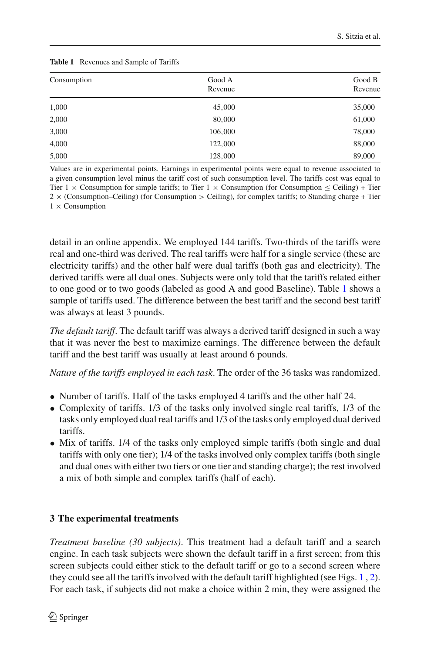<span id="page-5-1"></span>

| Consumption | Good A  | Good B  |
|-------------|---------|---------|
|             | Revenue | Revenue |
| 1,000       | 45,000  | 35,000  |
| 2,000       | 80,000  | 61,000  |
| 3,000       | 106,000 | 78,000  |
| 4,000       | 122,000 | 88,000  |
| 5,000       | 128,000 | 89,000  |

#### **Table 1** Revenues and Sample of Tariffs

Values are in experimental points. Earnings in experimental points were equal to revenue associated to a given consumption level minus the tariff cost of such consumption level. The tariffs cost was equal to Tier  $1 \times$  Consumption for simple tariffs; to Tier  $1 \times$  Consumption (for Consumption  $\le$  Ceiling) + Tier 2 × (Consumption–Ceiling) (for Consumption *>* Ceiling), for complex tariffs; to Standing charge + Tier  $1 \times$  Consumption

detail in an online appendix. We employed 144 tariffs. Two-thirds of the tariffs were real and one-third was derived. The real tariffs were half for a single service (these are electricity tariffs) and the other half were dual tariffs (both gas and electricity). The derived tariffs were all dual ones. Subjects were only told that the tariffs related either to one good or to two goods (labeled as good A and good Baseline). Table [1](#page-5-1) shows a sample of tariffs used. The difference between the best tariff and the second best tariff was always at least 3 pounds.

*The default tariff*. The default tariff was always a derived tariff designed in such a way that it was never the best to maximize earnings. The difference between the default tariff and the best tariff was usually at least around 6 pounds.

*Nature of the tariffs employed in each task*. The order of the 36 tasks was randomized.

- Number of tariffs. Half of the tasks employed 4 tariffs and the other half 24.
- Complexity of tariffs. 1/3 of the tasks only involved single real tariffs, 1/3 of the tasks only employed dual real tariffs and 1/3 of the tasks only employed dual derived tariffs.
- Mix of tariffs. 1/4 of the tasks only employed simple tariffs (both single and dual tariffs with only one tier); 1/4 of the tasks involved only complex tariffs (both single and dual ones with either two tiers or one tier and standing charge); the rest involved a mix of both simple and complex tariffs (half of each).

# <span id="page-5-0"></span>**3 The experimental treatments**

*Treatment baseline (30 subjects)*. This treatment had a default tariff and a search engine. In each task subjects were shown the default tariff in a first screen; from this screen subjects could either stick to the default tariff or go to a second screen where they could see all the tariffs involved with the default tariff highlighted (see Figs. [1](#page-6-0) , [2\)](#page-7-0). For each task, if subjects did not make a choice within 2 min, they were assigned the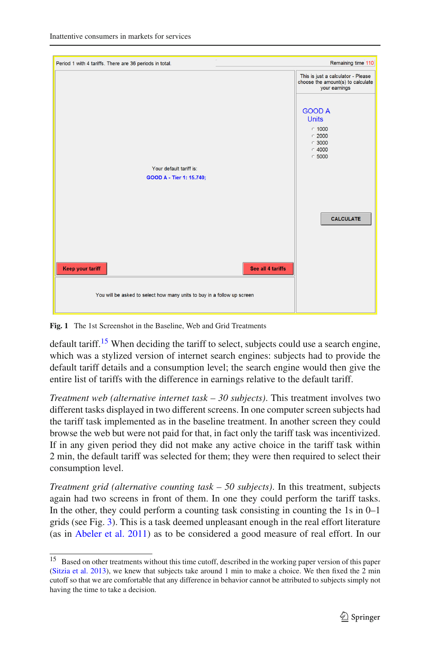

**Fig. 1** The 1st Screenshot in the Baseline, Web and Grid Treatments

<span id="page-6-0"></span>default tariff.<sup>[15](#page-6-1)</sup> When deciding the tariff to select, subjects could use a search engine, which was a stylized version of internet search engines: subjects had to provide the default tariff details and a consumption level; the search engine would then give the entire list of tariffs with the difference in earnings relative to the default tariff.

*Treatment web (alternative internet task – 30 subjects)*. This treatment involves two different tasks displayed in two different screens. In one computer screen subjects had the tariff task implemented as in the baseline treatment. In another screen they could browse the web but were not paid for that, in fact only the tariff task was incentivized. If in any given period they did not make any active choice in the tariff task within 2 min, the default tariff was selected for them; they were then required to select their consumption level.

*Treatment grid (alternative counting task – 50 subjects)*. In this treatment, subjects again had two screens in front of them. In one they could perform the tariff tasks. In the other, they could perform a counting task consisting in counting the  $1s$  in  $0-1$ grids (see Fig. [3\)](#page-8-0). This is a task deemed unpleasant enough in the real effort literature (as in [Abeler et al. 2011](#page-23-2)) as to be considered a good measure of real effort. In our

<span id="page-6-1"></span><sup>&</sup>lt;sup>15</sup> Based on other treatments without this time cutoff, described in the working paper version of this paper [\(Sitzia et al. 2013](#page-25-11)), we knew that subjects take around 1 min to make a choice. We then fixed the 2 min cutoff so that we are comfortable that any difference in behavior cannot be attributed to subjects simply not having the time to take a decision.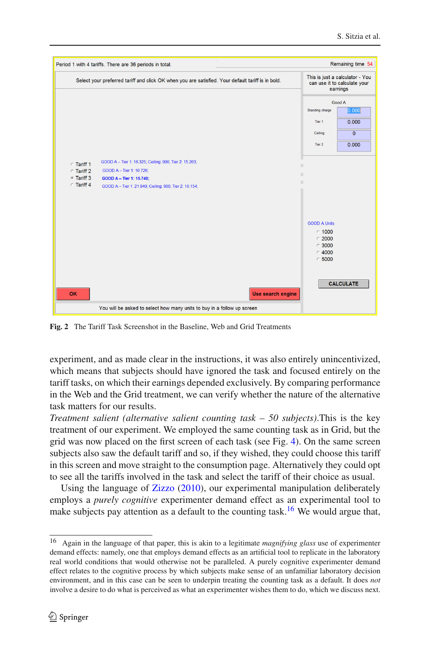|            | Period 1 with 4 tariffs. There are 36 periods in total.                                           |                                                                               | Remaining time 54                                                           |
|------------|---------------------------------------------------------------------------------------------------|-------------------------------------------------------------------------------|-----------------------------------------------------------------------------|
|            | Select your preferred tariff and click OK when you are satisfied. Your default tariff is in bold. |                                                                               | This is just a calculator - You<br>can use it to calculate your<br>earnings |
|            |                                                                                                   |                                                                               | Good A                                                                      |
|            |                                                                                                   | Standing charge                                                               | 0.000                                                                       |
|            |                                                                                                   | Tier 1                                                                        | 0.000                                                                       |
|            |                                                                                                   | Ceiling                                                                       | $\overline{0}$                                                              |
|            |                                                                                                   | Tier 2                                                                        | 0.000                                                                       |
| ∩ Tariff 1 | GOOD A - Tier 1: 16.325; Ceiling: 900; Tier 2: 15.263;                                            |                                                                               |                                                                             |
| ∩ Tariff 2 | GOOD A - Tier 1: 10.726;                                                                          | $\mathbf{H}$                                                                  |                                                                             |
| G Tariff 3 | GOOD A - Tier 1: 15.740;                                                                          | $\mathbb{H}$                                                                  |                                                                             |
| ∩ Tariff 4 | GOOD A - Tier 1: 21.940; Ceiling: 900; Tier 2: 10.154;                                            | $\mathbf{H}$                                                                  |                                                                             |
| OK         | Use search engine                                                                                 | <b>GOOD A Units</b><br>$C$ 1000<br>$C$ 2000<br>$C$ 3000<br>$C$ 4000<br>C 5000 | <b>CALCULATE</b>                                                            |
|            |                                                                                                   |                                                                               |                                                                             |
|            | You will be asked to select how many units to buy in a follow up screen                           |                                                                               |                                                                             |

<span id="page-7-0"></span>**Fig. 2** The Tariff Task Screenshot in the Baseline, Web and Grid Treatments

experiment, and as made clear in the instructions, it was also entirely unincentivized, which means that subjects should have ignored the task and focused entirely on the tariff tasks, on which their earnings depended exclusively. By comparing performance in the Web and the Grid treatment, we can verify whether the nature of the alternative task matters for our results.

*Treatment salient (alternative salient counting task – 50 subjects)*.This is the key treatment of our experiment. We employed the same counting task as in Grid, but the grid was now placed on the first screen of each task (see Fig. [4\)](#page-9-1). On the same screen subjects also saw the default tariff and so, if they wished, they could choose this tariff in this screen and move straight to the consumption page. Alternatively they could opt to see all the tariffs involved in the task and select the tariff of their choice as usual.

Using the language of [Zizzo](#page-25-12) [\(2010](#page-25-12)), our experimental manipulation deliberately employs a *purely cognitive* experimenter demand effect as an experimental tool to make subjects pay attention as a default to the counting task.<sup>[16](#page-7-1)</sup> We would argue that,

<span id="page-7-1"></span><sup>16</sup> Again in the language of that paper, this is akin to a legitimate *magnifying glass* use of experimenter demand effects: namely, one that employs demand effects as an artificial tool to replicate in the laboratory real world conditions that would otherwise not be paralleled. A purely cognitive experimenter demand effect relates to the cognitive process by which subjects make sense of an unfamiliar laboratory decision environment, and in this case can be seen to underpin treating the counting task as a default. It does *not* involve a desire to do what is perceived as what an experimenter wishes them to do, which we discuss next.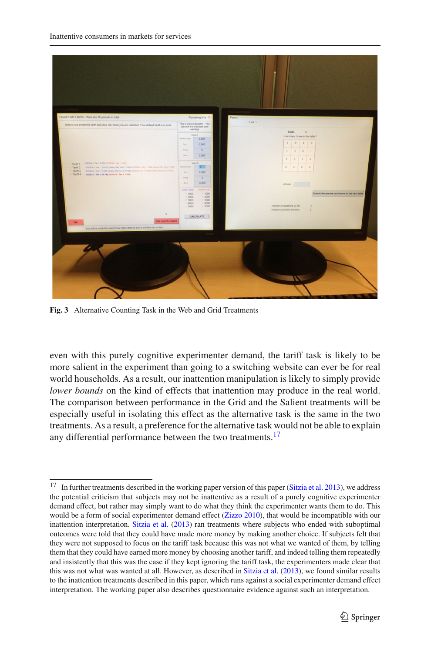

**Fig. 3** Alternative Counting Task in the Web and Grid Treatments

<span id="page-8-0"></span>even with this purely cognitive experimenter demand, the tariff task is likely to be more salient in the experiment than going to a switching website can ever be for real world households. As a result, our inattention manipulation is likely to simply provide *lower bounds* on the kind of effects that inattention may produce in the real world. The comparison between performance in the Grid and the Salient treatments will be especially useful in isolating this effect as the alternative task is the same in the two treatments. As a result, a preference for the alternative task would not be able to explain any differential performance between the two treatments.<sup>17</sup>

<span id="page-8-1"></span><sup>&</sup>lt;sup>17</sup> In further treatments described in the working paper version of this paper [\(Sitzia et al. 2013](#page-25-11)), we address the potential criticism that subjects may not be inattentive as a result of a purely cognitive experimenter demand effect, but rather may simply want to do what they think the experimenter wants them to do. This would be a form of social experimenter demand effect [\(Zizzo 2010](#page-25-12)), that would be incompatible with our inattention interpretation. [Sitzia et al.](#page-25-11) [\(2013](#page-25-11)) ran treatments where subjects who ended with suboptimal outcomes were told that they could have made more money by making another choice. If subjects felt that they were not supposed to focus on the tariff task because this was not what we wanted of them, by telling them that they could have earned more money by choosing another tariff, and indeed telling them repeatedly and insistently that this was the case if they kept ignoring the tariff task, the experimenters made clear that this was not what was wanted at all. However, as described in [Sitzia et al.](#page-25-11) [\(2013\)](#page-25-11), we found similar results to the inattention treatments described in this paper, which runs against a social experimenter demand effect interpretation. The working paper also describes questionnaire evidence against such an interpretation.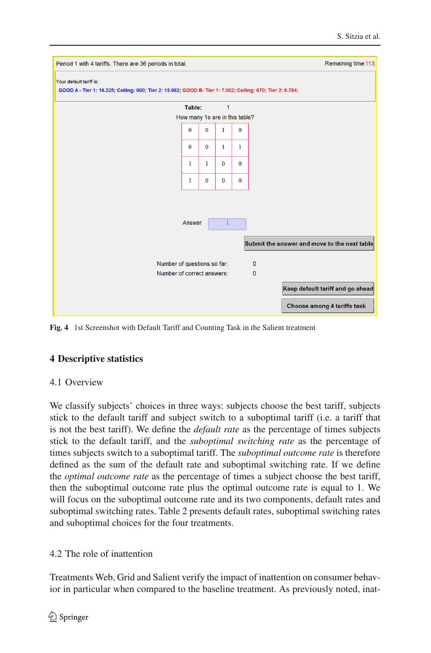| Period 1 with 4 tariffs. There are 36 periods in total.                                                    |                                                           |              |              |              |                               | Remaining time 113                           |
|------------------------------------------------------------------------------------------------------------|-----------------------------------------------------------|--------------|--------------|--------------|-------------------------------|----------------------------------------------|
| Your default tariff is:                                                                                    |                                                           |              |              |              |                               |                                              |
| GOOD A - Tier 1: 16.325; Ceiling: 900; Tier 2: 15.982; GOOD B- Tier 1: 7.002; Ceiling: 670; Tier 2: 6.784; |                                                           |              |              |              |                               |                                              |
|                                                                                                            | Table:                                                    |              | $\mathbf{1}$ |              |                               |                                              |
|                                                                                                            | How many 1s are in this table?                            |              |              |              |                               |                                              |
|                                                                                                            | $\bf{0}$                                                  | $\bf{0}$     | $\mathbf{1}$ | $\bf{0}$     |                               |                                              |
|                                                                                                            | $\mathbf{0}$                                              | $\mathbf{0}$ | $\mathbf{1}$ | $\mathbf{1}$ |                               |                                              |
|                                                                                                            | 1                                                         | $\mathbf{1}$ | $\mathbf{0}$ | $\bf{0}$     |                               |                                              |
|                                                                                                            | 1                                                         | $\bf{0}$     | $\bf{0}$     | $\bf{0}$     |                               |                                              |
|                                                                                                            |                                                           |              |              |              |                               |                                              |
|                                                                                                            |                                                           |              |              |              |                               |                                              |
|                                                                                                            | Answer                                                    |              |              |              |                               |                                              |
|                                                                                                            |                                                           |              |              |              |                               | Submit the answer and move to the next table |
|                                                                                                            |                                                           |              |              |              |                               |                                              |
|                                                                                                            | Number of questions so far:<br>Number of correct answers: |              |              |              | $\mathbf 0$<br>$\overline{0}$ |                                              |
|                                                                                                            |                                                           |              |              |              |                               |                                              |
|                                                                                                            |                                                           |              |              |              |                               | Keep default tariff and go ahead             |
|                                                                                                            |                                                           |              |              |              |                               | Choose among 4 tariffs task                  |

<span id="page-9-1"></span>**Fig. 4** 1st Screenshot with Default Tariff and Counting Task in the Salient treatment

## <span id="page-9-0"></span>**4 Descriptive statistics**

## 4.1 Overview

We classify subjects' choices in three ways: subjects choose the best tariff, subjects stick to the default tariff and subject switch to a suboptimal tariff (i.e. a tariff that is not the best tariff). We define the *default rate* as the percentage of times subjects stick to the default tariff, and the *suboptimal switching rate* as the percentage of times subjects switch to a suboptimal tariff. The *suboptimal outcome rate* is therefore defined as the sum of the default rate and suboptimal switching rate. If we define the *optimal outcome rate* as the percentage of times a subject choose the best tariff, then the suboptimal outcome rate plus the optimal outcome rate is equal to 1. We will focus on the suboptimal outcome rate and its two components, default rates and suboptimal switching rates. Table [2](#page-10-0) presents default rates, suboptimal switching rates and suboptimal choices for the four treatments.

### <span id="page-9-2"></span>4.2 The role of inattention

Treatments Web, Grid and Salient verify the impact of inattention on consumer behavior in particular when compared to the baseline treatment. As previously noted, inat-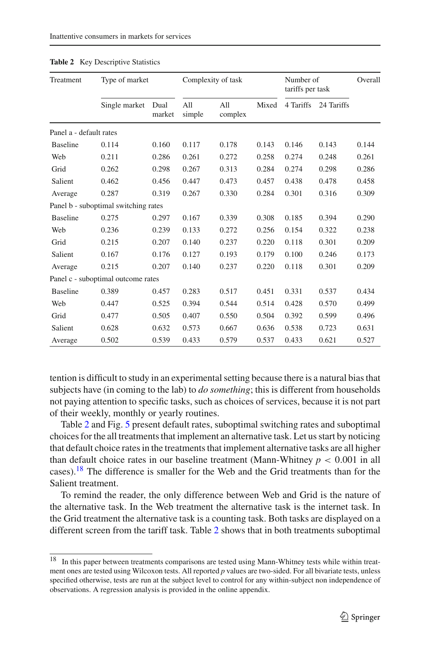<span id="page-10-0"></span>

| Treatment               | Type of market                       |                |               | Complexity of task |       | Number of<br>tariffs per task |            | Overall |
|-------------------------|--------------------------------------|----------------|---------------|--------------------|-------|-------------------------------|------------|---------|
|                         | Single market                        | Dual<br>market | All<br>simple | All<br>complex     | Mixed | 4 Tariffs                     | 24 Tariffs |         |
| Panel a - default rates |                                      |                |               |                    |       |                               |            |         |
| <b>Baseline</b>         | 0.114                                | 0.160          | 0.117         | 0.178              | 0.143 | 0.146                         | 0.143      | 0.144   |
| Web                     | 0.211                                | 0.286          | 0.261         | 0.272              | 0.258 | 0.274                         | 0.248      | 0.261   |
| Grid                    | 0.262                                | 0.298          | 0.267         | 0.313              | 0.284 | 0.274                         | 0.298      | 0.286   |
| Salient                 | 0.462                                | 0.456          | 0.447         | 0.473              | 0.457 | 0.438                         | 0.478      | 0.458   |
| Average                 | 0.287                                | 0.319          | 0.267         | 0.330              | 0.284 | 0.301                         | 0.316      | 0.309   |
|                         | Panel b - suboptimal switching rates |                |               |                    |       |                               |            |         |
| <b>Baseline</b>         | 0.275                                | 0.297          | 0.167         | 0.339              | 0.308 | 0.185                         | 0.394      | 0.290   |
| Web                     | 0.236                                | 0.239          | 0.133         | 0.272              | 0.256 | 0.154                         | 0.322      | 0.238   |
| Grid                    | 0.215                                | 0.207          | 0.140         | 0.237              | 0.220 | 0.118                         | 0.301      | 0.209   |
| Salient                 | 0.167                                | 0.176          | 0.127         | 0.193              | 0.179 | 0.100                         | 0.246      | 0.173   |
| Average                 | 0.215                                | 0.207          | 0.140         | 0.237              | 0.220 | 0.118                         | 0.301      | 0.209   |
|                         | Panel c - suboptimal outcome rates   |                |               |                    |       |                               |            |         |
| <b>Baseline</b>         | 0.389                                | 0.457          | 0.283         | 0.517              | 0.451 | 0.331                         | 0.537      | 0.434   |
| Web                     | 0.447                                | 0.525          | 0.394         | 0.544              | 0.514 | 0.428                         | 0.570      | 0.499   |
| Grid                    | 0.477                                | 0.505          | 0.407         | 0.550              | 0.504 | 0.392                         | 0.599      | 0.496   |
| Salient                 | 0.628                                | 0.632          | 0.573         | 0.667              | 0.636 | 0.538                         | 0.723      | 0.631   |
| Average                 | 0.502                                | 0.539          | 0.433         | 0.579              | 0.537 | 0.433                         | 0.621      | 0.527   |

|  |  | <b>Table 2</b> Key Descriptive Statistics |  |
|--|--|-------------------------------------------|--|
|--|--|-------------------------------------------|--|

tention is difficult to study in an experimental setting because there is a natural bias that subjects have (in coming to the lab) to *do something*; this is different from households not paying attention to specific tasks, such as choices of services, because it is not part of their weekly, monthly or yearly routines.

Table [2](#page-10-0) and Fig. [5](#page-11-0) present default rates, suboptimal switching rates and suboptimal choices for the all treatments that implement an alternative task. Let us start by noticing that default choice rates in the treatments that implement alternative tasks are all higher than default choice rates in our baseline treatment (Mann-Whitney  $p < 0.001$  in all cases)[.18](#page-10-1) The difference is smaller for the Web and the Grid treatments than for the Salient treatment.

To remind the reader, the only difference between Web and Grid is the nature of the alternative task. In the Web treatment the alternative task is the internet task. In the Grid treatment the alternative task is a counting task. Both tasks are displayed on a different screen from the tariff task. Table [2](#page-10-0) shows that in both treatments suboptimal

<span id="page-10-1"></span><sup>&</sup>lt;sup>18</sup> In this paper between treatments comparisons are tested using Mann-Whitney tests while within treatment ones are tested using Wilcoxon tests. All reported *p* values are two-sided. For all bivariate tests, unless specified otherwise, tests are run at the subject level to control for any within-subject non independence of observations. A regression analysis is provided in the online appendix.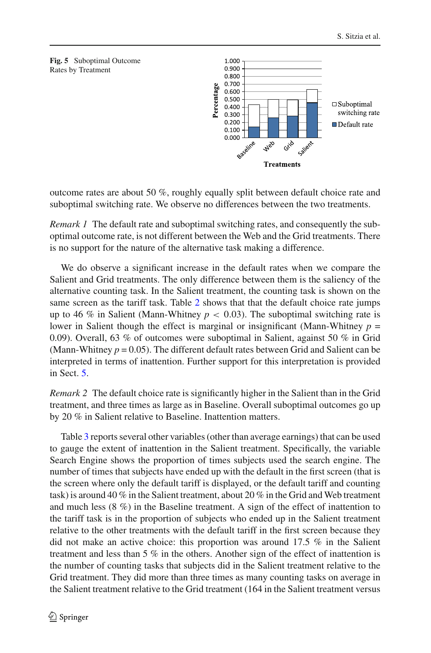<span id="page-11-0"></span>



outcome rates are about 50 %, roughly equally split between default choice rate and suboptimal switching rate. We observe no differences between the two treatments.

*Remark 1* The default rate and suboptimal switching rates, and consequently the suboptimal outcome rate, is not different between the Web and the Grid treatments. There is no support for the nature of the alternative task making a difference.

We do observe a significant increase in the default rates when we compare the Salient and Grid treatments. The only difference between them is the saliency of the alternative counting task. In the Salient treatment, the counting task is shown on the same screen as the tariff task. Table [2](#page-10-0) shows that that the default choice rate jumps up to 46 % in Salient (Mann-Whitney  $p < 0.03$ ). The suboptimal switching rate is lower in Salient though the effect is marginal or insignificant (Mann-Whitney  $p =$ 0.09). Overall, 63 % of outcomes were suboptimal in Salient, against 50 % in Grid (Mann-Whitney  $p = 0.05$ ). The different default rates between Grid and Salient can be interpreted in terms of inattention. Further support for this interpretation is provided in Sect. [5.](#page-12-0)

<span id="page-11-1"></span>*Remark 2* The default choice rate is significantly higher in the Salient than in the Grid treatment, and three times as large as in Baseline. Overall suboptimal outcomes go up by 20 % in Salient relative to Baseline. Inattention matters.

Table [3](#page-12-1) reports several other variables (other than average earnings) that can be used to gauge the extent of inattention in the Salient treatment. Specifically, the variable Search Engine shows the proportion of times subjects used the search engine. The number of times that subjects have ended up with the default in the first screen (that is the screen where only the default tariff is displayed, or the default tariff and counting task) is around 40 % in the Salient treatment, about 20 % in the Grid and Web treatment and much less (8 %) in the Baseline treatment. A sign of the effect of inattention to the tariff task is in the proportion of subjects who ended up in the Salient treatment relative to the other treatments with the default tariff in the first screen because they did not make an active choice: this proportion was around 17.5 % in the Salient treatment and less than 5 % in the others. Another sign of the effect of inattention is the number of counting tasks that subjects did in the Salient treatment relative to the Grid treatment. They did more than three times as many counting tasks on average in the Salient treatment relative to the Grid treatment (164 in the Salient treatment versus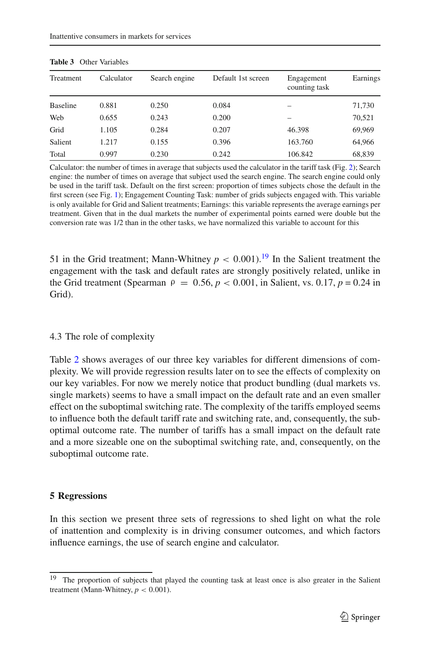<span id="page-12-1"></span>

| Treatment       | Calculator | Search engine | Default 1st screen | Engagement<br>counting task | Earnings |
|-----------------|------------|---------------|--------------------|-----------------------------|----------|
| <b>Baseline</b> | 0.881      | 0.250         | 0.084              |                             | 71,730   |
| Web             | 0.655      | 0.243         | 0.200              |                             | 70,521   |
| Grid            | 1.105      | 0.284         | 0.207              | 46.398                      | 69,969   |
| Salient         | 1.217      | 0.155         | 0.396              | 163.760                     | 64,966   |
| Total           | 0.997      | 0.230         | 0.242              | 106.842                     | 68,839   |

|  | <b>Table 3</b> Other Variables |
|--|--------------------------------|
|  |                                |

Calculator: the number of times in average that subjects used the calculator in the tariff task (Fig. [2\)](#page-7-0); Search engine: the number of times on average that subject used the search engine. The search engine could only be used in the tariff task. Default on the first screen: proportion of times subjects chose the default in the first screen (see Fig. [1\)](#page-6-0); Engagement Counting Task: number of grids subjects engaged with. This variable is only available for Grid and Salient treatments; Earnings: this variable represents the average earnings per treatment. Given that in the dual markets the number of experimental points earned were double but the conversion rate was 1/2 than in the other tasks, we have normalized this variable to account for this

51 in the Grid treatment; Mann-Whitney  $p < 0.001$ ).<sup>[19](#page-12-2)</sup> In the Salient treatment the engagement with the task and default rates are strongly positively related, unlike in the Grid treatment (Spearman  $\rho = 0.56$ ,  $p < 0.001$ , in Salient, vs. 0.17,  $p = 0.24$  in Grid).

## 4.3 The role of complexity

Table [2](#page-10-0) shows averages of our three key variables for different dimensions of complexity. We will provide regression results later on to see the effects of complexity on our key variables. For now we merely notice that product bundling (dual markets vs. single markets) seems to have a small impact on the default rate and an even smaller effect on the suboptimal switching rate. The complexity of the tariffs employed seems to influence both the default tariff rate and switching rate, and, consequently, the suboptimal outcome rate. The number of tariffs has a small impact on the default rate and a more sizeable one on the suboptimal switching rate, and, consequently, on the suboptimal outcome rate.

### <span id="page-12-0"></span>**5 Regressions**

In this section we present three sets of regressions to shed light on what the role of inattention and complexity is in driving consumer outcomes, and which factors influence earnings, the use of search engine and calculator.

<span id="page-12-2"></span><sup>&</sup>lt;sup>19</sup> The proportion of subjects that played the counting task at least once is also greater in the Salient treatment (Mann-Whitney,  $p < 0.001$ ).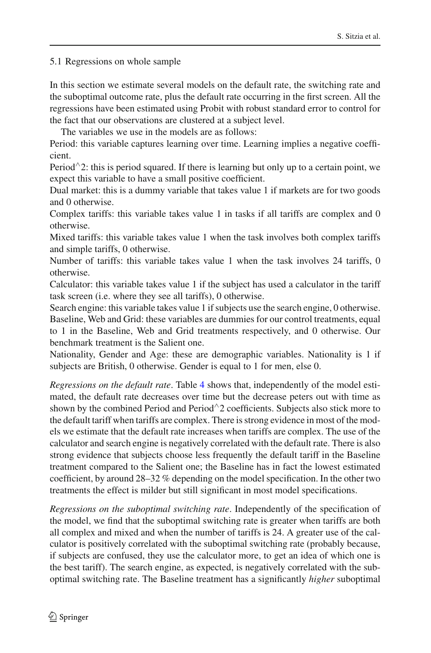5.1 Regressions on whole sample

In this section we estimate several models on the default rate, the switching rate and the suboptimal outcome rate, plus the default rate occurring in the first screen. All the regressions have been estimated using Probit with robust standard error to control for the fact that our observations are clustered at a subject level.

The variables we use in the models are as follows:

Period: this variable captures learning over time. Learning implies a negative coefficient.

Period^2: this is period squared. If there is learning but only up to a certain point, we expect this variable to have a small positive coefficient.

Dual market: this is a dummy variable that takes value 1 if markets are for two goods and 0 otherwise.

Complex tariffs: this variable takes value 1 in tasks if all tariffs are complex and 0 otherwise.

Mixed tariffs: this variable takes value 1 when the task involves both complex tariffs and simple tariffs, 0 otherwise.

Number of tariffs: this variable takes value 1 when the task involves 24 tariffs, 0 otherwise.

Calculator: this variable takes value 1 if the subject has used a calculator in the tariff task screen (i.e. where they see all tariffs), 0 otherwise.

Search engine: this variable takes value 1 if subjects use the search engine, 0 otherwise. Baseline, Web and Grid: these variables are dummies for our control treatments, equal to 1 in the Baseline, Web and Grid treatments respectively, and 0 otherwise. Our benchmark treatment is the Salient one.

Nationality, Gender and Age: these are demographic variables. Nationality is 1 if subjects are British, 0 otherwise. Gender is equal to 1 for men, else 0.

*Regressions on the default rate*. Table [4](#page-14-0) shows that, independently of the model estimated, the default rate decreases over time but the decrease peters out with time as shown by the combined Period and Period∧2 coefficients. Subjects also stick more to the default tariff when tariffs are complex. There is strong evidence in most of the models we estimate that the default rate increases when tariffs are complex. The use of the calculator and search engine is negatively correlated with the default rate. There is also strong evidence that subjects choose less frequently the default tariff in the Baseline treatment compared to the Salient one; the Baseline has in fact the lowest estimated coefficient, by around 28–32 % depending on the model specification. In the other two treatments the effect is milder but still significant in most model specifications.

*Regressions on the suboptimal switching rate*. Independently of the specification of the model, we find that the suboptimal switching rate is greater when tariffs are both all complex and mixed and when the number of tariffs is 24. A greater use of the calculator is positively correlated with the suboptimal switching rate (probably because, if subjects are confused, they use the calculator more, to get an idea of which one is the best tariff). The search engine, as expected, is negatively correlated with the suboptimal switching rate. The Baseline treatment has a significantly *higher* suboptimal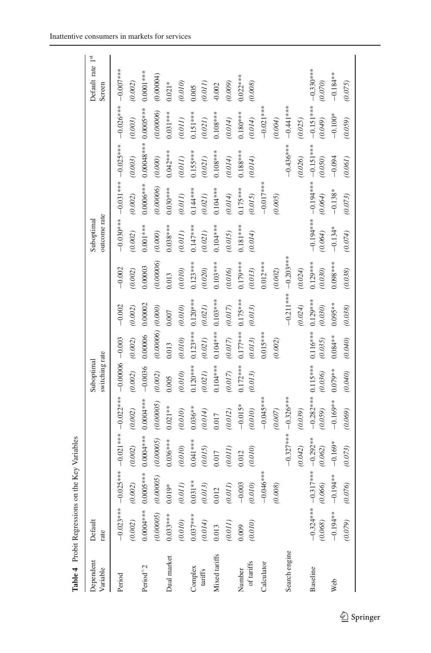<span id="page-14-0"></span>

| Table 4 Probit Regressions on |                          |                        | the Key Variables       |                                |                              |                               |                       |                       |                            |                                            |                         |                         |                            |
|-------------------------------|--------------------------|------------------------|-------------------------|--------------------------------|------------------------------|-------------------------------|-----------------------|-----------------------|----------------------------|--------------------------------------------|-------------------------|-------------------------|----------------------------|
| Dependent<br>Variable         | Default<br>rate          |                        |                         |                                | switching rate<br>Suboptimal |                               |                       |                       | outcome rate<br>Suboptimal |                                            |                         |                         | Default rate 1st<br>Screen |
| Period                        | (0.002)                  | (0.002)                | (0.002)                 | $(0.002)$                      | (0.002)                      | $(0.002)$                     | $-0.002$<br>$(0.002)$ | $-0.002$<br>(0.002)   | (0.002)                    | $-0.030***-0.031***-0.025***$<br>$(0.002)$ | $(0.003)$               | $-0.026***$<br>(0.003)  | $-0.007***$<br>(0.002)     |
| Period <sup>^2</sup>          |                          | $0.0004*** 0.0005***$  | $0.0004***$             | $0.0004***$                    | $-0.0036$                    | 0.00006                       | 0.00002               | 0.00003               | $0.001***$                 | $0.0006***$                                | $0.00048***$            | $0.0005***$             | $0.0001***$                |
| Dual market                   | (0.00005)<br>$0.033***$  | (0.00005)<br>$0.019*$  | (0.00005)<br>$0.036***$ | (0.00005)<br>$0.021**$         | (0.002)<br>0.005             | $(0.0006)$ $(0.000)$<br>0.013 | 0.007                 | (0.00006)<br>0.013    | $0.038***$<br>(0.000)      | (0.00006)<br>$0.030***$                    | $0.042***$<br>$(0.000)$ | (0.00006)<br>$0.031***$ | (0.00004)<br>$0.021*$      |
| Complex                       | $0.037***$<br>(0.010)    | $0.031**$<br>(0.011)   | $0.041***$<br>(0.010)   | $0.036**$<br>$(0.010)$         | $0.120***$<br>(0.010)        | $0.123***$<br>$(0.010)$       | $0.120***$<br>(0.010) | $0.123***$<br>(0.010) | $0.147***$<br>(0.011)      | $0.144***$<br>$(0.011)$                    | $0.155***$<br>(0.011)   | $0.151***$<br>$(0.011)$ | (0.010)<br>0.005           |
| tariffs                       | (0.014)                  | (0.013)                | (0.015)                 | (0.014)                        | (0.021)                      | (0.021)                       | (0.021)               | (0.020)               | (0.021)                    | (0.021)                                    | (0.021)                 | $(0.021)$               | (0.011)                    |
| Mixed tariffs                 | 0.013                    | $\overline{C}$<br>0.01 | 0.017                   | 0.017                          | $0.104***$                   | $0.104***$ $0.103***$         |                       | $0.103***$            | $0.104***$                 | 0.104***                                   | $0.108***$              | $0.108***$              | $-0.002$                   |
|                               | (0.011)                  | (0.011)                | (0.011)                 | (0.012)                        | (0.017)                      | (0.017)                       | $(0.017)$             | (0.016)               | (0.015)                    | (0.014)                                    | (0.014)                 | (0.014)                 | (0.009)                    |
| Number                        | 0.009                    | $-0.003$               | 0.012                   | $-0.015*$                      | $0.172***$                   | $0.177***0.175***$            |                       | 0.179***              | $0.181***$                 | $0.175***$                                 | $0.188***$              | $0.180***$              | $0.022***$                 |
| of tariffs                    | (0.010)                  | $(0.010)$              | (0.010)                 | (0.010)                        | (0.013)                      | (0.013)                       | (0.013)               | (0.013)               | (0.014)                    | (0.015)                                    | (0.014)                 | (0.014)                 | (0.008)                    |
| Calculator                    |                          | $-0.046***$<br>(0.008) |                         | $-0.045***$<br>(0.007)         |                              | $0.015***$<br>(0.002)         |                       | $0.012***$<br>(0.002) |                            | $-0.017***$<br>(0.005)                     |                         | $-0.021***$<br>(0.004)  |                            |
| Search engine                 |                          |                        | $-0.327***$             | $-0.326***$                    |                              |                               | $-0.211***$           | $-0.203***$           |                            |                                            | $-0.436***$             | $-0.441***$             |                            |
|                               |                          |                        | (0.042)                 | (0.039)                        |                              |                               | (0.024)               | (0.024)               |                            |                                            | (0.026)                 | (0.025)                 |                            |
| Baseline                      | $-0.324***$<br>$(0.068)$ | $317***$<br>(0.066)    | $-0.292**$<br>(0.062)   | $-0.282***0.115***$<br>(0.059) | (0.036)                      | $0.116***$<br>(0.035)         | $0.129***$<br>(0.030) | $0.129***$<br>(0.030) | $-0.194***$<br>(0.064)     | $-0.194***$<br>(0.064)                     | $-0.151***$<br>(0.050)  | $-0.151***$<br>(0.049)  | $-0.330***$<br>(0.070)     |
| Web                           | $-0.194**$               | $-0.194**$             | $-0.169*$               | $-0.169**$                     | $0.079**$                    | $0.084**$                     | $0.095**$             | $0.098***$            | $-0.134*$                  | $-0.138*$                                  | $-0.094$                | $-0.100*$               | $-0.184**$                 |
|                               | (0.079)                  | (0.076)                | (0.073)                 | (0.069)                        | (0.040)                      | (0.040)                       | (0.038)               | (0.038)               | (0.074)                    | (0.073)                                    | (0.061)                 | (0.059)                 | (0.075)                    |
|                               |                          |                        |                         |                                |                              |                               |                       |                       |                            |                                            |                         |                         |                            |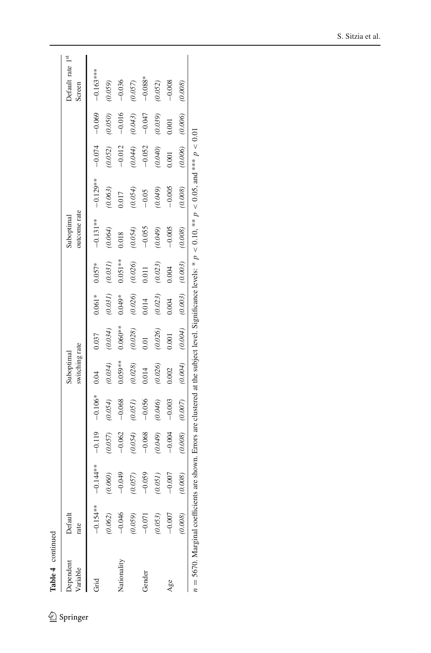Table 4 continued **Table 4** continued

| Lable + Continued   |                 |            |          |           |                              |           |           |           |                            |            |          |          |                            |
|---------------------|-----------------|------------|----------|-----------|------------------------------|-----------|-----------|-----------|----------------------------|------------|----------|----------|----------------------------|
| pendent<br>variable | Default<br>rate |            |          |           | switching rate<br>Suboptimal |           |           |           | outcome rate<br>Suboptimal |            |          |          | Default rate 1st<br>Screen |
|                     | $-0.154**$      | $-0.144**$ | $-0.119$ | $-0.106*$ | 0.04                         | 0.037     | $0.061*$  | $0.057*$  | $-0.131**$                 | $-0.129**$ | $-0.074$ | $-0.069$ | $-0.163***$                |
|                     | (0.062)         | (0.060)    | (0.057)  | (0.054)   | (0.034)                      | (0.034)   | (0.031)   | $(0.031)$ | (0.064)                    | 0.063)     | (0.052)  | (0.050)  | (0.059)                    |
| Vationality         | $-0.046$        | $-0.049$   | $-0.062$ | $-0.068$  | $0.059**$                    | $0.060**$ | $0.049*$  | $0.051**$ | 0.18                       | 1.017      | $-0.012$ | $-0.016$ | $-0.036$                   |
|                     | 0.059)          | (0.057)    | (0.054)  | (0.051)   | (0.028)                      | (0.028)   | (0.026)   | (0.026)   | (0.054)                    | 0.054)     | (0.044)  | (0.043)  | (0.057)                    |
| Gender              | $-0.071$        | $-0.059$   | $-0.068$ | $-0.056$  | 0.014                        | 0.01      | $0.014\,$ | 0.011     | $-0.055$                   | $-0.05$    | $-0.052$ | $-0.047$ | $-0.088*$                  |
|                     | 0.053)          | (0.051)    | (0.049)  | (0.046)   | (0.026)                      | (0.026)   | (0.023)   | (0.023)   | (0.049)                    | (670, 0)   | (0.040)  | (0.039)  | (0.052)                    |
| Age                 | $-0.007$        | $-0.007$   | $-0.004$ | $-0.003$  | 0.002                        | 0.001     | 0.004     | 0.004     | $-0.005$                   | $-0.005$   | 0.001    | 0.001    | $-0.008$                   |
|                     | (0.008)         | (0.008)    | (0.008)  | (0.007)   | (0.004)                      | (0.004)   | (0.003)   | (0.003)   | (0.008)                    | (0.008)    | (0.006)  | (0.006)  | (0.008)                    |

 $n = 5670$ . Marginal coefficients are shown. Errors are clustered at the subject level. Significance levels: \*  $p < 0.10$ , \*\*  $p < 0.05$ , and \*\*\*  $p < 0.01$  $n = 5670$ . Marginal coefficients are shown. Errors are clustered at the subject level. Significance levels: \*  $p < 0.10$ , \*\*  $p < 0.05$ , and \*\*\*  $p < 0.01$ .

 $\underline{\textcircled{\tiny 2}}$  Springer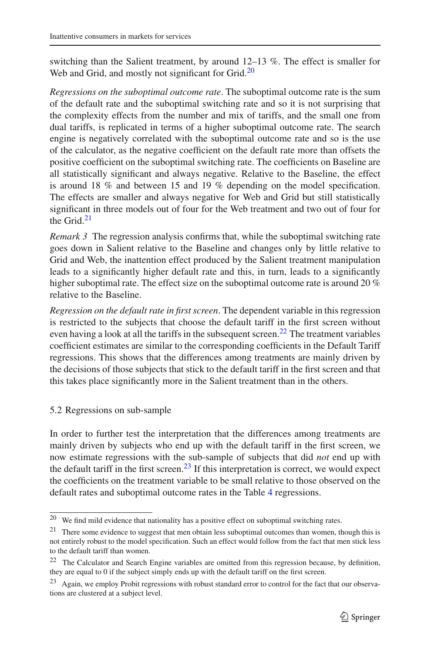switching than the Salient treatment, by around 12–13 %. The effect is smaller for Web and Grid, and mostly not significant for Grid. $20$ 

*Regressions on the suboptimal outcome rate*. The suboptimal outcome rate is the sum of the default rate and the suboptimal switching rate and so it is not surprising that the complexity effects from the number and mix of tariffs, and the small one from dual tariffs, is replicated in terms of a higher suboptimal outcome rate. The search engine is negatively correlated with the suboptimal outcome rate and so is the use of the calculator, as the negative coefficient on the default rate more than offsets the positive coefficient on the suboptimal switching rate. The coefficients on Baseline are all statistically significant and always negative. Relative to the Baseline, the effect is around 18 % and between 15 and 19 % depending on the model specification. The effects are smaller and always negative for Web and Grid but still statistically significant in three models out of four for the Web treatment and two out of four for the Grid.[21](#page-16-1)

<span id="page-16-4"></span>*Remark 3* The regression analysis confirms that, while the suboptimal switching rate goes down in Salient relative to the Baseline and changes only by little relative to Grid and Web, the inattention effect produced by the Salient treatment manipulation leads to a significantly higher default rate and this, in turn, leads to a significantly higher suboptimal rate. The effect size on the suboptimal outcome rate is around 20 % relative to the Baseline.

*Regression on the default rate in first screen*. The dependent variable in this regression is restricted to the subjects that choose the default tariff in the first screen without even having a look at all the tariffs in the subsequent screen.<sup>22</sup> The treatment variables coefficient estimates are similar to the corresponding coefficients in the Default Tariff regressions. This shows that the differences among treatments are mainly driven by the decisions of those subjects that stick to the default tariff in the first screen and that this takes place significantly more in the Salient treatment than in the others.

5.2 Regressions on sub-sample

In order to further test the interpretation that the differences among treatments are mainly driven by subjects who end up with the default tariff in the first screen, we now estimate regressions with the sub-sample of subjects that did *not* end up with the default tariff in the first screen.<sup>23</sup> If this interpretation is correct, we would expect the coefficients on the treatment variable to be small relative to those observed on the default rates and suboptimal outcome rates in the Table [4](#page-14-0) regressions.

 $20$  We find mild evidence that nationality has a positive effect on suboptimal switching rates.

<span id="page-16-1"></span><span id="page-16-0"></span><sup>&</sup>lt;sup>21</sup> There some evidence to suggest that men obtain less suboptimal outcomes than women, though this is not entirely robust to the model specification. Such an effect would follow from the fact that men stick less to the default tariff than women.

<span id="page-16-2"></span><sup>22</sup> The Calculator and Search Engine variables are omitted from this regression because, by definition, they are equal to 0 if the subject simply ends up with the default tariff on the first screen.

<span id="page-16-3"></span><sup>&</sup>lt;sup>23</sup> Again, we employ Probit regressions with robust standard error to control for the fact that our observations are clustered at a subject level.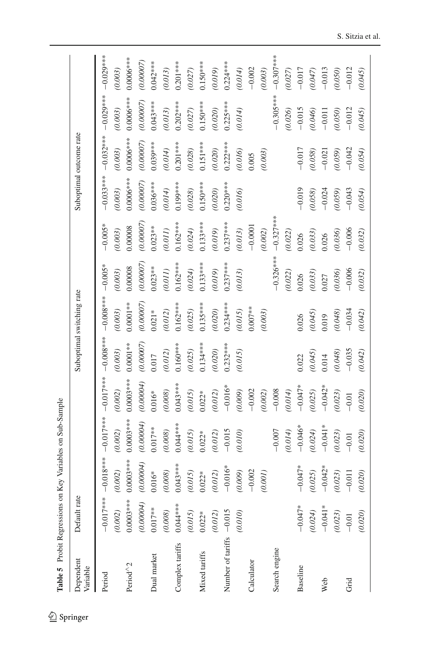<span id="page-17-0"></span>

| í<br>í<br>ı<br>֚֬֕<br>í<br>۱<br>I<br>ı<br>l<br>ׇ֚֘֝֬<br>l |
|-----------------------------------------------------------|
| í<br>$\ddot{\phantom{a}}$<br>í<br>۱<br>ı<br>ł             |
| ٦<br>ı<br>l<br>í<br>I<br>Ï<br>ı<br>l<br>l<br>ı<br>í       |
| ֠<br>l<br>í<br>۱<br>l<br>í<br>I                           |
| l<br>J<br>l<br>֠<br>i<br>l<br>i                           |
| י                                                         |

| Dependent<br>Variable    | Default rate |             |             |             |            | Suboptimal switching rate |             |             |             | Suboptimal outcome rate |             |             |
|--------------------------|--------------|-------------|-------------|-------------|------------|---------------------------|-------------|-------------|-------------|-------------------------|-------------|-------------|
| Period                   | $-0.017***$  | $-0.018***$ | $-0.017***$ | $-0.017***$ | $-0.000$   | $-0.008***$               | $-0.005*$   | $-0.005*$   | $-0.033***$ | $-0.032***$             | $-0.029***$ | $-0.029***$ |
|                          | (0.002)      | (0.002)     | (0.002)     | (0.002)     | (0.003)    | (0.003)                   | $(0.003)$   | (0.003)     | (0.003)     | (0.003)                 | (0.003)     | $(0.003)$   |
| Period <sup>^2</sup>     | $0.0003***$  | $0.0003***$ | $0.0003***$ | $0.0003***$ | $0.0001**$ | $0.0001**$                | 0.00008     | 0.00008     | $0.0006***$ | $0.0006***$             | $0.0006***$ | $0.0006***$ |
|                          | (0.00004)    | (0.00004)   | (0.00004)   | (0.00004)   | (0.00007)  | (0.00007)                 | (0.00007)   | (0.00007)   | (0.00007)   | (0.00007)               | (0.00007)   | (0.00007)   |
| Dual market              | $0.017***$   | $0.016*$    | $0.017***$  | $0.016*$    | 0.017      | $0.021*$                  | $0.023**$   | $0.023**$   | $0.036***$  | $0.039***$              | $0.043***$  | $0.042***$  |
|                          | $(0.008)$    | $(0.008)$   | (0.008)     | (0.008)     | (0.012)    | (0.012)                   | $(0.011)$   | (0.011)     | (0.014)     | (0.014)                 | (0.013)     | (0.013)     |
| Complex tariffs          | $0.044***$   | $0.043***$  | $0.044***$  | $0.043***$  | $0.160***$ | $0.162***$                | $0.162***$  | $0.162***$  | $0.199***$  | $0.201***$              | $0.202***$  | $0.201***$  |
|                          | (0.015)      | (0.015)     | (0.015)     | (0.015)     | (0.025)    | (0.025)                   | (0.024)     | (0.024)     | (0.028)     | (0.028)                 | (0.027)     | (0.027)     |
| Mixed tariffs            | $0.022*$     | $0.022*$    | $0.022*$    | $0.022*$    | $0.134***$ | $0.135***$                | $0.133***$  | $0.133***$  | $0.150***$  | $0.151***$              | $0.150***$  | $0.150***$  |
|                          | (0.012)      | (0.012)     | (0.012)     | (0.012)     | (0.020)    | (0.020)                   | (0.019)     | (0.019)     | (0.020)     | (0.020)                 | (0.020)     | (0.019)     |
| Number of tariffs -0.015 |              | $-0.016*$   | $-0.015$    | $-0.016*$   | $0.232***$ | $0.234***$                | $0.237***$  | $0.237***$  | $0.220***$  | $0.222***$              | $0.225***$  | $0.224***$  |
|                          | (0.010)      | (0.009)     | (0.010)     | (0.009)     | (0.015)    | (0.015)                   | $(0.013)$   | (0.013)     | (0.016)     | (0.016)                 | (0.014)     | (0.014)     |
| Calculator               |              | $-0.002$    |             | $-0.002$    |            | $0.007**$                 |             | $-0.0001$   |             | 0.005                   |             | $-0.002$    |
|                          |              | (0.001)     |             | (0.002)     |            | (0.003)                   |             | (0.002)     |             | (0.003)                 |             | (0.003)     |
| Search engine            |              |             | $-0.007$    | $-0.008$    |            |                           | $-0.326***$ | $-0.327***$ |             |                         | $-0.305***$ | $-0.307***$ |
|                          |              |             | (0.014)     | (0.014)     |            |                           | (0.022)     | (0.022)     |             |                         | (0.026)     | (0.027)     |
| Baseline                 | $-0.047*$    | $-0.047*$   | $-0.046*$   | $-0.047*$   | 0.022      | 0.026                     | 0.026       | 0.026       | $-0.019$    | $-0.017$                | $-0.015$    | $-0.017$    |
|                          | (0.024)      | (0.025)     | (0.024)     | (0.025)     | (0.045)    | (0.045)                   | (0.033)     | (0.033)     | (0.058)     | (0.058)                 | (0.046)     | (0.047)     |
| Web                      | $-0.041*$    | $-0.042*$   | $-0.041*$   | $-0.042*$   | 0.014      | 0.019                     | 0.027       | 0.026       | $-0.024$    | $-0.021$                | $-0.011$    | $-0.013$    |
|                          | (0.023)      | (0.023)     | (0.023)     | (0.023)     | (0.048)    | (0.048)                   | (0.036)     | (0.036)     | (0.059)     | (0.059)                 | (0.050)     | (0.050)     |
| Grid                     | $-0.01$      | $-0.011$    | $-0.01$     | $-0.01$     | $-0.035$   | $-0.034$                  | $-0.006$    | $-0.006$    | $-0.043$    | $-0.042$                | $-0.012$    | $-0.012$    |
|                          | (0.020)      | (0.020)     | (0.020)     | (0.020)     | (0.042)    | (0.042)                   | (0.032)     | (0.032)     | (0.054)     | (0.054)                 | (0.045)     | (0.045)     |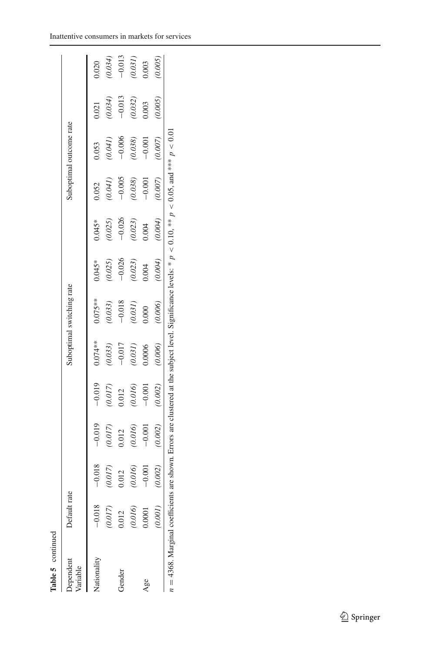| Table 5 continued                                                                                                                                                  |              |          |          |          |           |                           |          |          |          |                         |          |          |
|--------------------------------------------------------------------------------------------------------------------------------------------------------------------|--------------|----------|----------|----------|-----------|---------------------------|----------|----------|----------|-------------------------|----------|----------|
| ependent<br>ariable                                                                                                                                                | Default rate |          |          |          |           | Suboptimal switching rate |          |          |          | Suboptimal outcome rate |          |          |
| lationality                                                                                                                                                        | $-0.018$     | $-0.018$ | $-0.019$ | $-0.019$ | $0.074**$ | $0.075***$                | $0.045*$ | $0.045*$ | 0.052    | 0.53                    | 0.021    | 0.020    |
|                                                                                                                                                                    | (0.017)      | (0.017)  | (0.017)  | (0.017)  | (0.033)   | (0.033)                   | (0.025)  | (0.025)  | (0.041)  | (0.041)                 | (0.034)  | (0.034)  |
| <b>Gender</b>                                                                                                                                                      | 0.012        | 0.012    | 0.012    | 0.012    | $-0.017$  | $-0.018$                  | $-0.026$ | $-0.026$ | $-0.005$ | $-0.006$                | $-0.013$ | $-0.013$ |
|                                                                                                                                                                    | (0.016)      | (0.016)  | (0.016)  | (0.016)  | (0.031)   | (0.031)                   | (0.023)  | (0.023)  | (0.038)  | (0.038)                 | (0.032)  | (0.031)  |
| Age                                                                                                                                                                | 1.0001       | $-0.001$ | $-0.001$ | $-0.001$ | 0.0006    | 0.000                     | 0.004    | 0.004    | $-0.001$ | $-0.001$                | 0.003    | 0.003    |
|                                                                                                                                                                    | (1000)       | (0.002)  | (0.002)  | (0.002)  | (0.006)   | (0.006)                   | (0.004)  | (0.004)  | (0.007)  | (0.007)                 | (0.005)  | 0.005    |
| $n = 4368$ . Marginal coefficients are shown. Errors are clustered at the subject level. Significance levels: * $p < 0.10$ , *** $p < 0.05$ , and *** $p < 0.01$ . |              |          |          |          |           |                           |          |          |          |                         |          |          |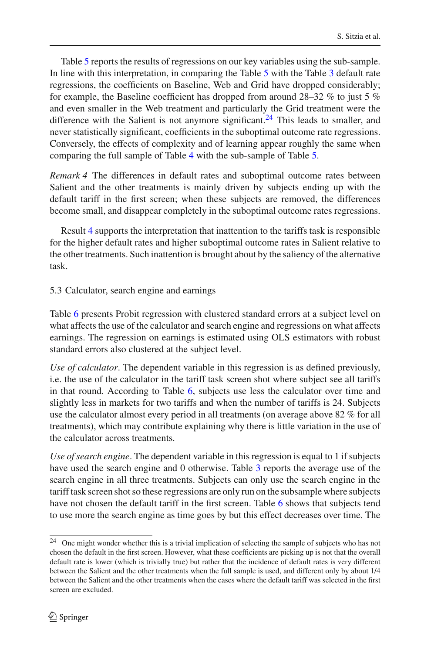Table [5](#page-17-0) reports the results of regressions on our key variables using the sub-sample. In line with this interpretation, in comparing the Table [5](#page-17-0) with the Table [3](#page-12-1) default rate regressions, the coefficients on Baseline, Web and Grid have dropped considerably; for example, the Baseline coefficient has dropped from around  $28-32\%$  to just 5 % and even smaller in the Web treatment and particularly the Grid treatment were the difference with the Salient is not anymore significant.<sup>[24](#page-19-0)</sup> This leads to smaller, and never statistically significant, coefficients in the suboptimal outcome rate regressions. Conversely, the effects of complexity and of learning appear roughly the same when comparing the full sample of Table [4](#page-14-0) with the sub-sample of Table [5.](#page-17-0)

<span id="page-19-1"></span>*Remark 4* The differences in default rates and suboptimal outcome rates between Salient and the other treatments is mainly driven by subjects ending up with the default tariff in the first screen; when these subjects are removed, the differences become small, and disappear completely in the suboptimal outcome rates regressions.

Result [4](#page-19-1) supports the interpretation that inattention to the tariffs task is responsible for the higher default rates and higher suboptimal outcome rates in Salient relative to the other treatments. Such inattention is brought about by the saliency of the alternative task.

<span id="page-19-2"></span>5.3 Calculator, search engine and earnings

Table [6](#page-20-0) presents Probit regression with clustered standard errors at a subject level on what affects the use of the calculator and search engine and regressions on what affects earnings. The regression on earnings is estimated using OLS estimators with robust standard errors also clustered at the subject level.

*Use of calculator*. The dependent variable in this regression is as defined previously, i.e. the use of the calculator in the tariff task screen shot where subject see all tariffs in that round. According to Table [6,](#page-20-0) subjects use less the calculator over time and slightly less in markets for two tariffs and when the number of tariffs is 24. Subjects use the calculator almost every period in all treatments (on average above 82 % for all treatments), which may contribute explaining why there is little variation in the use of the calculator across treatments.

*Use of search engine*. The dependent variable in this regression is equal to 1 if subjects have used the search engine and 0 otherwise. Table [3](#page-12-1) reports the average use of the search engine in all three treatments. Subjects can only use the search engine in the tariff task screen shot so these regressions are only run on the subsample where subjects have not chosen the default tariff in the first screen. Table [6](#page-20-0) shows that subjects tend to use more the search engine as time goes by but this effect decreases over time. The

<span id="page-19-0"></span><sup>&</sup>lt;sup>24</sup> One might wonder whether this is a trivial implication of selecting the sample of subjects who has not chosen the default in the first screen. However, what these coefficients are picking up is not that the overall default rate is lower (which is trivially true) but rather that the incidence of default rates is very different between the Salient and the other treatments when the full sample is used, and different only by about 1/4 between the Salient and the other treatments when the cases where the default tariff was selected in the first screen are excluded.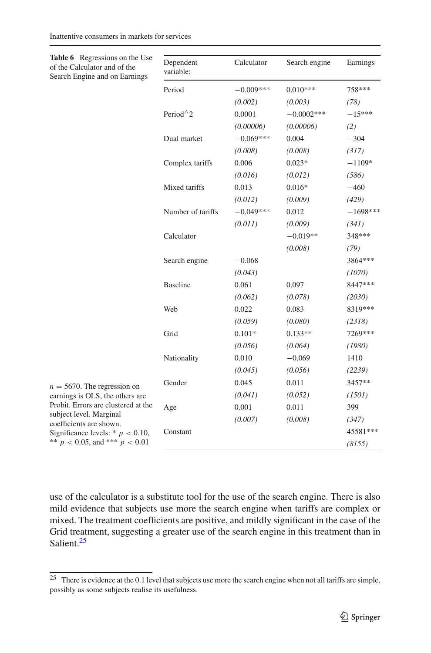<span id="page-20-0"></span>

| Table 6 Regressions on the Use<br>of the Calculator and of the<br>Search Engine and on Earnings                                                                                                                                             | Dependent<br>variable: | Calculator  | Search engine | Earnings   |
|---------------------------------------------------------------------------------------------------------------------------------------------------------------------------------------------------------------------------------------------|------------------------|-------------|---------------|------------|
|                                                                                                                                                                                                                                             | Period                 | $-0.009***$ | $0.010***$    | 758***     |
|                                                                                                                                                                                                                                             |                        | (0.002)     | (0.003)       | (78)       |
|                                                                                                                                                                                                                                             | Period $^{\wedge}2$    | 0.0001      | $-0.0002***$  | $-15***$   |
|                                                                                                                                                                                                                                             |                        | (0.00006)   | (0.00006)     | (2)        |
|                                                                                                                                                                                                                                             | Dual market            | $-0.069***$ | 0.004         | $-304$     |
|                                                                                                                                                                                                                                             |                        | (0.008)     | (0.008)       | (317)      |
|                                                                                                                                                                                                                                             | Complex tariffs        | 0.006       | $0.023*$      | $-1109*$   |
|                                                                                                                                                                                                                                             |                        | (0.016)     | (0.012)       | (586)      |
|                                                                                                                                                                                                                                             | Mixed tariffs          | 0.013       | $0.016*$      | $-460$     |
|                                                                                                                                                                                                                                             |                        | (0.012)     | (0.009)       | (429)      |
|                                                                                                                                                                                                                                             | Number of tariffs      | $-0.049***$ | 0.012         | $-1698***$ |
|                                                                                                                                                                                                                                             |                        | (0.011)     | (0.009)       | (341)      |
|                                                                                                                                                                                                                                             | Calculator             |             | $-0.019**$    | 348***     |
|                                                                                                                                                                                                                                             |                        |             | (0.008)       | (79)       |
|                                                                                                                                                                                                                                             | Search engine          | $-0.068$    |               | 3864 ***   |
|                                                                                                                                                                                                                                             |                        | (0.043)     |               | (1070)     |
|                                                                                                                                                                                                                                             | <b>Baseline</b>        | 0.061       | 0.097         | 8447***    |
|                                                                                                                                                                                                                                             |                        | (0.062)     | (0.078)       | (2030)     |
|                                                                                                                                                                                                                                             | Web                    | 0.022       | 0.083         | 8319***    |
|                                                                                                                                                                                                                                             |                        | (0.059)     | (0.080)       | (2318)     |
|                                                                                                                                                                                                                                             | Grid                   | $0.101*$    | $0.133**$     | 7269***    |
|                                                                                                                                                                                                                                             |                        | (0.056)     | (0.064)       | (1980)     |
|                                                                                                                                                                                                                                             | Nationality            | 0.010       | $-0.069$      | 1410       |
|                                                                                                                                                                                                                                             |                        | (0.045)     | (0.056)       | (2239)     |
| $n = 5670$ . The regression on<br>earnings is OLS, the others are<br>Probit. Errors are clustered at the<br>subject level. Marginal<br>coefficients are shown.<br>Significance levels: * $p < 0.10$ ,<br>** $p < 0.05$ , and *** $p < 0.01$ | Gender                 | 0.045       | 0.011         | 3457**     |
|                                                                                                                                                                                                                                             |                        | (0.041)     | (0.052)       | (1501)     |
|                                                                                                                                                                                                                                             | Age                    | 0.001       | 0.011         | 399        |
|                                                                                                                                                                                                                                             |                        | (0.007)     | (0.008)       | (347)      |
|                                                                                                                                                                                                                                             | Constant               |             |               | 45581***   |
|                                                                                                                                                                                                                                             |                        |             |               | (8155)     |

use of the calculator is a substitute tool for the use of the search engine. There is also mild evidence that subjects use more the search engine when tariffs are complex or mixed. The treatment coefficients are positive, and mildly significant in the case of the Grid treatment, suggesting a greater use of the search engine in this treatment than in Salient.<sup>25</sup>

<span id="page-20-1"></span><sup>&</sup>lt;sup>25</sup> There is evidence at the 0.1 level that subjects use more the search engine when not all tariffs are simple, possibly as some subjects realise its usefulness.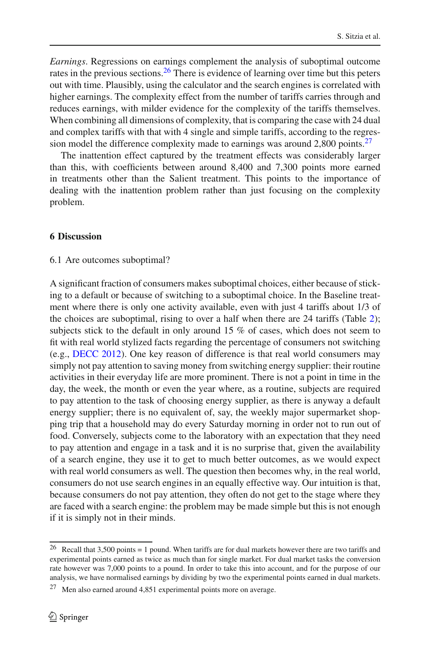*Earnings*. Regressions on earnings complement the analysis of suboptimal outcome rates in the previous sections.  $^{26}$  There is evidence of learning over time but this peters out with time. Plausibly, using the calculator and the search engines is correlated with higher earnings. The complexity effect from the number of tariffs carries through and reduces earnings, with milder evidence for the complexity of the tariffs themselves. When combining all dimensions of complexity, that is comparing the case with 24 dual and complex tariffs with that with 4 single and simple tariffs, according to the regression model the difference complexity made to earnings was around  $2,800$  points.<sup>[27](#page-21-2)</sup>

The inattention effect captured by the treatment effects was considerably larger than this, with coefficients between around 8,400 and 7,300 points more earned in treatments other than the Salient treatment. This points to the importance of dealing with the inattention problem rather than just focusing on the complexity problem.

### <span id="page-21-0"></span>**6 Discussion**

## 6.1 Are outcomes suboptimal?

A significant fraction of consumers makes suboptimal choices, either because of sticking to a default or because of switching to a suboptimal choice. In the Baseline treatment where there is only one activity available, even with just 4 tariffs about 1/3 of the choices are suboptimal, rising to over a half when there are 24 tariffs (Table [2\)](#page-10-0); subjects stick to the default in only around 15 % of cases, which does not seem to fit with real world stylized facts regarding the percentage of consumers not switching (e.g., [DECC 2012\)](#page-24-30). One key reason of difference is that real world consumers may simply not pay attention to saving money from switching energy supplier: their routine activities in their everyday life are more prominent. There is not a point in time in the day, the week, the month or even the year where, as a routine, subjects are required to pay attention to the task of choosing energy supplier, as there is anyway a default energy supplier; there is no equivalent of, say, the weekly major supermarket shopping trip that a household may do every Saturday morning in order not to run out of food. Conversely, subjects come to the laboratory with an expectation that they need to pay attention and engage in a task and it is no surprise that, given the availability of a search engine, they use it to get to much better outcomes, as we would expect with real world consumers as well. The question then becomes why, in the real world, consumers do not use search engines in an equally effective way. Our intuition is that, because consumers do not pay attention, they often do not get to the stage where they are faced with a search engine: the problem may be made simple but this is not enough if it is simply not in their minds.

<span id="page-21-1"></span><sup>&</sup>lt;sup>26</sup> Recall that 3,500 points = 1 pound. When tariffs are for dual markets however there are two tariffs and experimental points earned as twice as much than for single market. For dual market tasks the conversion rate however was 7,000 points to a pound. In order to take this into account, and for the purpose of our analysis, we have normalised earnings by dividing by two the experimental points earned in dual markets.

<span id="page-21-2"></span><sup>27</sup> Men also earned around 4,851 experimental points more on average.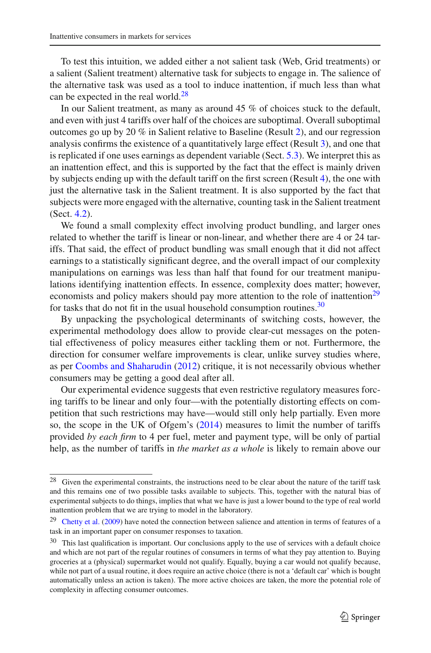To test this intuition, we added either a not salient task (Web, Grid treatments) or a salient (Salient treatment) alternative task for subjects to engage in. The salience of the alternative task was used as a tool to induce inattention, if much less than what can be expected in the real world. $28$ 

In our Salient treatment, as many as around 45 % of choices stuck to the default, and even with just 4 tariffs over half of the choices are suboptimal. Overall suboptimal outcomes go up by 20  $\%$  in Salient relative to Baseline (Result [2\)](#page-11-1), and our regression analysis confirms the existence of a quantitatively large effect (Result [3\)](#page-16-4), and one that is replicated if one uses earnings as dependent variable (Sect. [5.3\)](#page-19-2). We interpret this as an inattention effect, and this is supported by the fact that the effect is mainly driven by subjects ending up with the default tariff on the first screen (Result [4\)](#page-19-1), the one with just the alternative task in the Salient treatment. It is also supported by the fact that subjects were more engaged with the alternative, counting task in the Salient treatment (Sect. [4.2\)](#page-9-2).

We found a small complexity effect involving product bundling, and larger ones related to whether the tariff is linear or non-linear, and whether there are 4 or 24 tariffs. That said, the effect of product bundling was small enough that it did not affect earnings to a statistically significant degree, and the overall impact of our complexity manipulations on earnings was less than half that found for our treatment manipulations identifying inattention effects. In essence, complexity does matter; however, economists and policy makers should pay more attention to the role of inattention<sup>29</sup> for tasks that do not fit in the usual household consumption routines. $30$ 

By unpacking the psychological determinants of switching costs, however, the experimental methodology does allow to provide clear-cut messages on the potential effectiveness of policy measures either tackling them or not. Furthermore, the direction for consumer welfare improvements is clear, unlike survey studies where, as per [Coombs and Shaharudin](#page-24-19) [\(2012\)](#page-24-19) critique, it is not necessarily obvious whether consumers may be getting a good deal after all.

Our experimental evidence suggests that even restrictive regulatory measures forcing tariffs to be linear and only four—with the potentially distorting effects on competition that such restrictions may have—would still only help partially. Even more so, the scope in the UK of Ofgem's [\(2014\)](#page-24-24) measures to limit the number of tariffs provided *by each firm* to 4 per fuel, meter and payment type, will be only of partial help, as the number of tariffs in *the market as a whole* is likely to remain above our

<span id="page-22-0"></span><sup>28</sup> Given the experimental constraints, the instructions need to be clear about the nature of the tariff task and this remains one of two possible tasks available to subjects. This, together with the natural bias of experimental subjects to do things, implies that what we have is just a lower bound to the type of real world inattention problem that we are trying to model in the laboratory.

<span id="page-22-1"></span><sup>&</sup>lt;sup>29</sup> [Chetty et al.](#page-24-31) [\(2009\)](#page-24-31) have noted the connection between salience and attention in terms of features of a task in an important paper on consumer responses to taxation.

<span id="page-22-2"></span><sup>&</sup>lt;sup>30</sup> This last qualification is important. Our conclusions apply to the use of services with a default choice and which are not part of the regular routines of consumers in terms of what they pay attention to. Buying groceries at a (physical) supermarket would not qualify. Equally, buying a car would not qualify because, while not part of a usual routine, it does require an active choice (there is not a 'default car' which is bought automatically unless an action is taken). The more active choices are taken, the more the potential role of complexity in affecting consumer outcomes.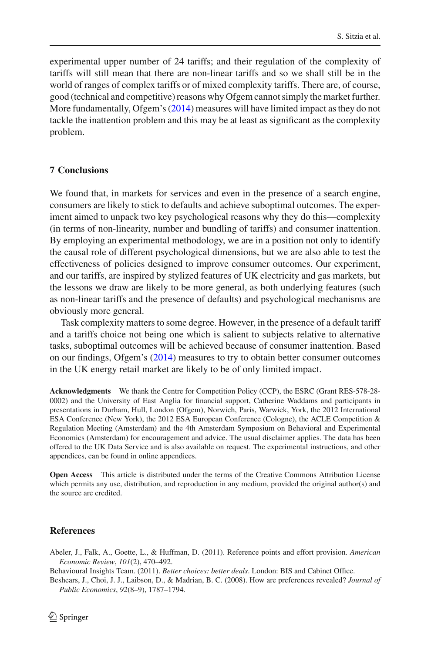experimental upper number of 24 tariffs; and their regulation of the complexity of tariffs will still mean that there are non-linear tariffs and so we shall still be in the world of ranges of complex tariffs or of mixed complexity tariffs. There are, of course, good (technical and competitive) reasons why Ofgem cannot simply the market further. More fundamentally, Ofgem's [\(2014\)](#page-24-24) measures will have limited impact as they do not tackle the inattention problem and this may be at least as significant as the complexity problem.

## <span id="page-23-1"></span>**7 Conclusions**

We found that, in markets for services and even in the presence of a search engine, consumers are likely to stick to defaults and achieve suboptimal outcomes. The experiment aimed to unpack two key psychological reasons why they do this—complexity (in terms of non-linearity, number and bundling of tariffs) and consumer inattention. By employing an experimental methodology, we are in a position not only to identify the causal role of different psychological dimensions, but we are also able to test the effectiveness of policies designed to improve consumer outcomes. Our experiment, and our tariffs, are inspired by stylized features of UK electricity and gas markets, but the lessons we draw are likely to be more general, as both underlying features (such as non-linear tariffs and the presence of defaults) and psychological mechanisms are obviously more general.

Task complexity matters to some degree. However, in the presence of a default tariff and a tariffs choice not being one which is salient to subjects relative to alternative tasks, suboptimal outcomes will be achieved because of consumer inattention. Based on our findings, Ofgem's [\(2014](#page-24-24)) measures to try to obtain better consumer outcomes in the UK energy retail market are likely to be of only limited impact.

**Acknowledgments** We thank the Centre for Competition Policy (CCP), the ESRC (Grant RES-578-28- 0002) and the University of East Anglia for financial support, Catherine Waddams and participants in presentations in Durham, Hull, London (Ofgem), Norwich, Paris, Warwick, York, the 2012 International ESA Conference (New York), the 2012 ESA European Conference (Cologne), the ACLE Competition & Regulation Meeting (Amsterdam) and the 4th Amsterdam Symposium on Behavioral and Experimental Economics (Amsterdam) for encouragement and advice. The usual disclaimer applies. The data has been offered to the UK Data Service and is also available on request. The experimental instructions, and other appendices, can be found in online appendices.

**Open Access** This article is distributed under the terms of the Creative Commons Attribution License which permits any use, distribution, and reproduction in any medium, provided the original author(s) and the source are credited.

#### **References**

<span id="page-23-2"></span>Abeler, J., Falk, A., Goette, L., & Huffman, D. (2011). Reference points and effort provision. *American Economic Review*, *101*(2), 470–492.

<span id="page-23-0"></span>Behavioural Insights Team. (2011). *Better choices: better deals*. London: BIS and Cabinet Office.

Beshears, J., Choi, J. J., Laibson, D., & Madrian, B. C. (2008). How are preferences revealed? *Journal of Public Economics*, *92*(8–9), 1787–1794.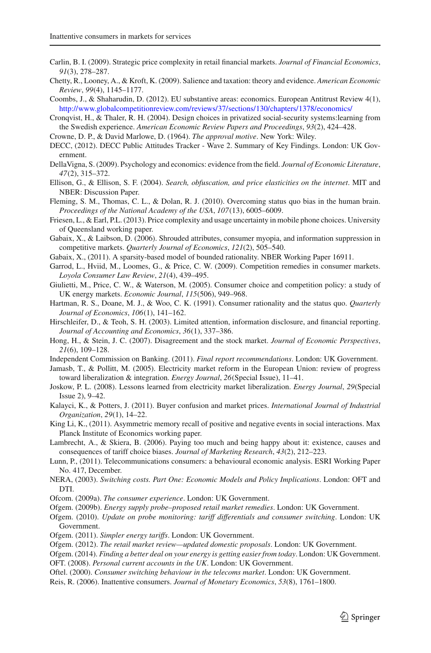- <span id="page-24-11"></span>Carlin, B. I. (2009). Strategic price complexity in retail financial markets. *Journal of Financial Economics*, *91*(3), 278–287.
- <span id="page-24-31"></span>Chetty, R., Looney, A., & Kroft, K. (2009). Salience and taxation: theory and evidence. *American Economic Review*, *99*(4), 1145–1177.
- <span id="page-24-19"></span>Coombs, J., & Shaharudin, D. (2012). EU substantive areas: economics. European Antitrust Review 4(1), <http://www.globalcompetitionreview.com/reviews/37/sections/130/chapters/1378/economics/>
- Cronqvist, H., & Thaler, R. H. (2004). Design choices in privatized social-security systems:learning from the Swedish experience. *American Economic Review Papers and Proceedings*, *93*(2), 424–428.
- <span id="page-24-23"></span>Crowne, D. P., & David Marlowe, D. (1964). *The approval motive*. New York: Wiley.
- <span id="page-24-30"></span>DECC, (2012). DECC Public Attitudes Tracker - Wave 2. Summary of Key Findings. London: UK Government.
- <span id="page-24-18"></span>DellaVigna, S. (2009). Psychology and economics: evidence from the field. *Journal of Economic Literature*, *47*(2), 315–372.
- <span id="page-24-13"></span>Ellison, G., & Ellison, S. F. (2004). *Search, obfuscation, and price elasticities on the internet*. MIT and NBER: Discussion Paper.
- <span id="page-24-22"></span>Fleming, S. M., Thomas, C. L., & Dolan, R. J. (2010). Overcoming status quo bias in the human brain. *Proceedings of the National Academy of the USA*, *107*(13), 6005–6009.
- <span id="page-24-25"></span>Friesen, L., & Earl, P.L. (2013). Price complexity and usage uncertainty in mobile phone choices. University of Queensland working paper.
- <span id="page-24-12"></span>Gabaix, X., & Laibson, D. (2006). Shrouded attributes, consumer myopia, and information suppression in competitive markets. *Quarterly Journal of Economics*, *121*(2), 505–540.
- Gabaix, X., (2011). A sparsity-based model of bounded rationality. NBER Working Paper 16911.
- <span id="page-24-17"></span><span id="page-24-7"></span>Garrod, L., Hviid, M., Loomes, G., & Price, C. W. (2009). Competition remedies in consumer markets. *Loyola Consumer Law Review*, *21*(4), 439–495.
- <span id="page-24-0"></span>Giulietti, M., Price, C. W., & Waterson, M. (2005). Consumer choice and competition policy: a study of UK energy markets. *Economic Journal*, *115*(506), 949–968.
- <span id="page-24-20"></span>Hartman, R. S., Doane, M. J., & Woo, C. K. (1991). Consumer rationality and the status quo. *Quarterly Journal of Economics*, *106*(1), 141–162.
- <span id="page-24-16"></span>Hirschleifer, D., & Teoh, S. H. (2003). Limited attention, information disclosure, and financial reporting. *Journal of Accounting and Economics*, *36*(1), 337–386.
- <span id="page-24-15"></span>Hong, H., & Stein, J. C. (2007). Disagreement and the stock market. *Journal of Economic Perspectives*, *21*(6), 109–128.
- Independent Commission on Banking. (2011). *Final report recommendations*. London: UK Government.
- <span id="page-24-10"></span><span id="page-24-1"></span>Jamasb, T., & Pollitt, M. (2005). Electricity market reform in the European Union: review of progress toward liberalization & integration. *Energy Journal*, *26*(Special Issue), 11–41.
- <span id="page-24-4"></span>Joskow, P. L. (2008). Lessons learned from electricity market liberalization. *Energy Journal*, *29*(Special Issue 2), 9–42.
- <span id="page-24-28"></span>Kalayci, K., & Potters, J. (2011). Buyer confusion and market prices. *International Journal of Industrial Organization*, *29*(1), 14–22.
- <span id="page-24-21"></span>King Li, K., (2011). Asymmetric memory recall of positive and negative events in social interactions. Max Planck Institute of Economics working paper.
- <span id="page-24-6"></span>Lambrecht, A., & Skiera, B. (2006). Paying too much and being happy about it: existence, causes and consequences of tariff choice biases. *Journal of Marketing Research*, *43*(2), 212–223.
- <span id="page-24-3"></span>Lunn, P., (2011). Telecommunications consumers: a behavioural economic analysis. ESRI Working Paper No. 417, December.
- <span id="page-24-26"></span>NERA, (2003). *Switching costs. Part One: Economic Models and Policy Implications*. London: OFT and DTI.
- <span id="page-24-5"></span>Ofcom. (2009a). *The consumer experience*. London: UK Government.
- Ofgem. (2009b). *Energy supply probe–proposed retail market remedies*. London: UK Government.
- <span id="page-24-27"></span><span id="page-24-8"></span>Ofgem. (2010). *Update on probe monitoring: tariff differentials and consumer switching*. London: UK Government.
- <span id="page-24-9"></span>Ofgem. (2011). *Simpler energy tariffs*. London: UK Government.
- <span id="page-24-29"></span>Ofgem. (2012). *The retail market review—updated domestic proposals*. London: UK Government.
- <span id="page-24-24"></span><span id="page-24-2"></span>Ofgem. (2014). *Finding a better deal on your energy is getting easier from today*. London: UK Government. OFT. (2008). *Personal current accounts in the UK*. London: UK Government.
- <span id="page-24-14"></span>Oftel. (2000). *Consumer switching behaviour in the telecoms market*. London: UK Government.
- Reis, R. (2006). Inattentive consumers. *Journal of Monetary Economics*, *53*(8), 1761–1800.